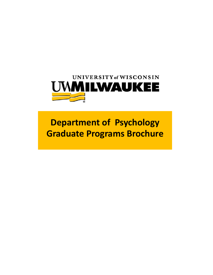

**Department of Psychology Graduate Programs Brochure**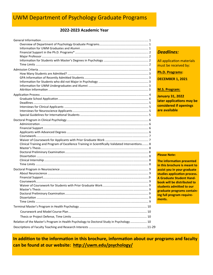# UWM Department of Psychology Graduate Programs

### **2022‐2023 Academic Year**

|                                                                                                  |   | <b>Deadlines:</b>                |
|--------------------------------------------------------------------------------------------------|---|----------------------------------|
|                                                                                                  |   |                                  |
|                                                                                                  |   | <b>All application materials</b> |
|                                                                                                  |   | must be received by:             |
|                                                                                                  |   |                                  |
|                                                                                                  |   | Ph.D. Programs:                  |
|                                                                                                  |   | <b>DECEMBER 1, 2021</b>          |
|                                                                                                  |   |                                  |
|                                                                                                  |   |                                  |
|                                                                                                  |   | <b>M.S. Program:</b>             |
|                                                                                                  |   |                                  |
|                                                                                                  |   | <b>January 31, 2022</b>          |
|                                                                                                  |   | later applications may be        |
|                                                                                                  |   | considered if openings           |
|                                                                                                  |   | are available                    |
|                                                                                                  |   |                                  |
|                                                                                                  |   |                                  |
|                                                                                                  |   |                                  |
|                                                                                                  |   |                                  |
|                                                                                                  |   |                                  |
|                                                                                                  |   |                                  |
|                                                                                                  |   |                                  |
| Clinical Training and Program of Excellence Training in Scientifically Validated Interventions 8 |   |                                  |
|                                                                                                  |   |                                  |
|                                                                                                  |   |                                  |
|                                                                                                  |   | <b>Please Note:</b>              |
|                                                                                                  |   |                                  |
|                                                                                                  |   | The information presented        |
|                                                                                                  |   | in this brochure is meant to     |
|                                                                                                  |   | assist you in your graduate      |
|                                                                                                  |   | studies application process.     |
|                                                                                                  |   | <b>A Graduate Student Hand-</b>  |
|                                                                                                  |   | book will be distributed to      |
|                                                                                                  |   | students admitted to our         |
|                                                                                                  | a | graduate programs contain-       |
|                                                                                                  |   | ing full program require-        |
|                                                                                                  |   | ments.                           |
|                                                                                                  |   |                                  |
|                                                                                                  |   |                                  |
|                                                                                                  |   |                                  |
|                                                                                                  |   |                                  |
| Relation of the Master's Program in Health Psychology to Doctoral Study in Psychology  10        |   |                                  |
|                                                                                                  |   |                                  |

In addition to the information in this brochure, information about our programs and faculty **can be found at our website: hƩp://uwm.edu/psychology/**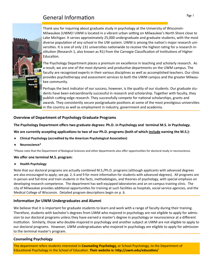# General Information and the state of the state of the state of the state of the state of the state of the state of the state of the state of the state of the state of the state of the state of the state of the state of the



Thank you for inquiring about graduate study in psychology at the University of Wisconsin‐ Milwaukee (UWM)! UWM is located in a vibrant urban setting on Milwaukee's North Shore close to Lake Michigan. It serves approximately 25,000 undergraduate and graduate students, with the most diverse population of any school in the UW system. UWM is among the nation's major research universities. It is one of only 131 universities nationwide to receive the highest rating for a research institution (Research 1, also known as R1) from the Carnegie Classification of Institutions of Higher Education.

The Psychology Department places a premium on excellence in teaching and scholarly research. As a result, we are one of the most dynamic and productive departments on the UWM campus. The faculty are recognized experts in their various disciplines as well as accomplished teachers. Our clinic provides psychotherapy and assessment services to both the UWM campus and the greater Milwau‐ kee community.

Perhaps the best indicator of our success, however, is the quality of our students. Our graduate stu‐ dents have been extraordinarily successful in research and scholarship. Together with faculty, they publish cutting-edge research. They successfully compete for national scholarships, grants and awards. They consistently secure postgraduate positions at some of the most prestigious universities in the country as well as employment in industry, government and academia.

#### **Overview of Department of Psychology Graduate Programs**

**The Psychology Department offers two graduate degrees: Ph.D. in Psychology and terminal M.S. in Psychology.** 

We are currently accepting applications to two of our Ph.D. programs (both of which include earning the M.S.):

- **4** Clinical Psychology (accredited by the American Psychological Association)
- **Neuroscience\***

\*Please note that the Department of Biological Sciences and other departments also offer opportunities for doctoral study in neuroscience.

#### **We offer one terminal M.S. program:**

**Health Psychology** 

Note that our doctoral programs are actually combined M.S./Ph.D. programs (although applicants with advanced degrees are also encouraged to apply; see pp. 2, 6 and 9 for more information for students with advanced degrees). All programs are in person and full-time and train students in the facts, methodologies, and theories of psychology, with special emphasis on developing research competence. The department has well‐equipped laboratories and an on‐campus training clinic. The city of Milwaukee provides additional opportunities for training at such facilities as hospitals, social service agencies, and the Medical College of Wisconsin. Detailed program descriptions begin on p. 6.

#### **InformaƟon** *for* **UWM Undergraduates and Alumni**

We believe that it is important for graduate students to learn and work with a range of faculty during their training. Therefore, students with bachelor's degrees from UWM who majored in psychology are not eligible to apply for admis‐ sion to our doctoral programs unless they have earned a master's degree in psychology or neuroscience at a different institution. Similarly, those who double-majored in psychology and another subject at UWM are not eligible to apply to our doctoral programs. However, UWM undergraduates who majored in psychology are eligible to apply for admission to the terminal master's program.

#### **Counseling Psychology**

The department refers students interested in **Counseling Psychology,** or School Psychology, to the Department of Educational Psychology in the School of Education. **Their website is: http://uwm.edu/education/**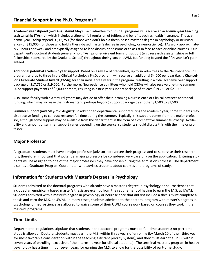## **Financial Support in the Ph.D. Programs\***

**Academic year sƟpend (mid August‐mid May):** Each admiƩee to our Ph.D. programs will receive an **academic‐year teaching**  assistantship (TAship), which includes a stipend, full remission of tuition, and benefits such as health insurance. The academic-year TAship stipend is \$13,750 (for those who don't hold a thesis-based master's degree in psychology or neuroscience) or \$15,000 (for those who hold a thesis-based master's degree in psychology or neuroscience). TAs work approximately 20 hours per week and are typically assigned to lead discussion sessions or to assist in face-to-face or online courses. Our department's doctoral students generally hold TAships or equivalent forms of support (e.g., research assistantships or full fellowships sponsored by the Graduate School) throughout their years at UWM, but funding beyond the fifth year isn't guaranteed.

Additional potential academic year support: Based on a review of credentials, up to six admittees to the Neuroscience Ph.D. program, and up to three in the Clinical Psychology Ph.D. program, will receive an additional \$4,000 per year (i.e., a **Chancel**lor's Graduate Student Award [CGSA]) for their initial three years in the program, resulting in a total academic year support package of \$17,750 or \$19,000. Furthermore, Neuroscience admittees who hold CGSAs will also receive one-time summer 2022 support payments of \$2,000 or more, resulting in a first-year support package of at least \$19,750 or \$21,000.

Also, some faculty with extramural grants may decide to offer their incoming Neuroscience or Clinical advisees additional funding, which may increase the first‐year (and perhaps beyond) support package by another \$1,500 to \$3,500.

**Summer support (mid May-mid August):** In addition to departmental support during the academic year, some students may also receive funding to conduct research full time during the summer. Typically, this support comes from the major professor, although some support may be available from the department in the form of a competitive summer fellowship. Availability and amount of summer support varies depending on the source, so students should discuss this with their major pro‐ fessor.

## **Major Professor**

All graduate students must have a major professor (advisor) to oversee their progress and to supervise their research. It is, therefore, important that potential major professors be considered very carefully on the application. Entering students will be assigned to one of the major professors they have chosen during the admissions process. The department also has a Graduate Program Coordinator who advises students about courses and programs of study.

## **InformaƟon for Students with Master's Degrees in Psychology**

Students admiƩed to the doctoral programs who already have a master's degree in psychology or neuroscience that included an empirically based master's thesis are exempt from the requirement of having to earn the M.S. at UWM. Students admiƩed with a master's degree in psychology or neuroscience that did *not* include a thesis must complete a thesis and earn the M.S. at UWM. In many cases, students admitted to the doctoral program with master's degrees in psychology or neuroscience are allowed to waive some of their UWM coursework based on courses they took in their master's programs.

## **Time Limits**

Departmental regulations stipulate that students in the doctoral programs must be full-time students; no part-time study is allowed. Doctoral students must earn the M.S. within three years of enrolling (by March 10 of their third year for most favorable consideration within the teaching assistant priority system), and they must earn the Ph.D. within seven years of enrolling (exclusive of the internship year for clinical students). The terminal master's program in health psychology has a time limit of seven years for earning the M.S. to allow for the possibility of part-time study.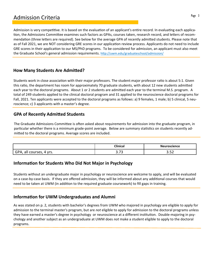# Admission Criteria

Admission is very competitive. It is based on the evaluation of an applicant's entire record. In evaluating each application, the Admissions Committee examines such factors as GPAs, courses taken, research record, and letters of recommendation (three letters are required). See below for the average GPA of recently admitted students. Please note that as of Fall 2021, we are NOT considering GRE scores in our application review process. Applicants do not need to include GRE scores in their application to our MS/PhD programs. To be considered for admission, an applicant must also meet the Graduate School's general admission requirements. http://uwm.edu/graduateschool/admission/

## **How Many Students Are Admitted?**

Students work in close association with their major professors. The student:major professor ratio is about 5:1. Given this ratio, the department has room for approximately 70 graduate students, with about 12 new students admitted each year to the doctoral programs. About 1 or 2 students are admitted each year to the terminal M.S. program. A total of 249 students applied to the clinical doctoral program and 31 applied to the neuroscience doctoral programs for Fall, 2021. Ten applicants were accepted to the doctoral programs as follows: a) 9 females, 1 male; b) 5 clinical, 5 neuroscience; c) 3 applicants with a master's degree.

## **GPA of Recently AdmiƩed Students**

The Graduate Admissions Committee is often asked about requirements for admission into the graduate program, in particular whether there is a minimum grade-point average. Below are summary statistics on students recently admitted to the doctoral programs. Average scores are included.

|                           | <b>Clinical</b>    | <b>Ne</b><br>euroscience               |
|---------------------------|--------------------|----------------------------------------|
| ` vrs.<br>courses<br>. טי | $-$<br><u>., .</u> | --<br><u>.</u><br>$\sim$ $\sim$ $\sim$ |

## **InformaƟon for Students Who Did Not Major in Psychology**

Students without an undergraduate major in psychology or neuroscience are welcome to apply, and will be evaluated on a case-by-case basis. If they are offered admission, they will be informed about any additional courses that would need to be taken at UWM (in addition to the required graduate coursework) to fill gaps in training.

## **InformaƟon for UWM Undergraduates and Alumni**

As was stated on p. 2, students with bachelor's degrees from UWM who majored in psychology are eligible to apply for admission to the terminal master's program, but are *not* eligible to apply for admission to the doctoral programs unless they have earned a master's degree in psychology or neuroscience at a different institution. Double-majoring in psychology and another subject as an undergraduate at UWM does *not* make a student eligible to apply to the doctoral programs.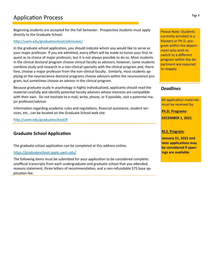Beginning students are accepted for the Fall Semester. Prospective students must apply directly to the Graduate School.

#### http://uwm.edu/graduateschool/admission/

In the graduate school application, you should indicate whom you would like to serve as your major professor. If you are admitted, every effort will be made to honor your first re‐ quest as to choice of major professor, but it is not always possible to do so. Most students in the clinical doctoral program choose clinical faculty as advisors; however, some students combine study and research in a non-clinical specialty with the clinical program and, therefore, choose a major professor from the non-clinical faculty. Similarly, most students applying to the neuroscience doctoral programs choose advisors within the neuroscience pro‐ gram, but sometimes choose an advisor in the clinical program.

Because graduate study in psychology is highly individualized, applicants should read the material carefully and identify potential faculty advisors whose interests are compatible with their own. Do not hesitate to e-mail, write, phone, or if possible, visit a potential major professor/advisor.

Information regarding academic rules and regulations, financial assistance, student services, etc., can be located on the Graduate School web site:

http://uwm.edu/graduateschool/#

## **Graduate School Application**

The graduate school application can be completed at this address online:

https://graduateschool-apply.uwm.edu/

The following items must be submitted for your application to be considered complete: unofficial transcripts from each undergraduate and graduate school that you attended, reasons statement, three letters of recommendation, and a non-refundable \$75 base application fee.

Please Note: Students currently enrolled in a Masters or Ph.D. pro‐ gram within the depart‐ ment who wish to switch to a different program within the de‐ partment are required to reapply.

### *Deadlines*

All application materials must be received by:

**Ph.D. Programs:** 

**DECEMBER 1, 2021** 

**M.S. Program:** 

**January 31, 2022 and later applications may be considered if open‐ ings are available**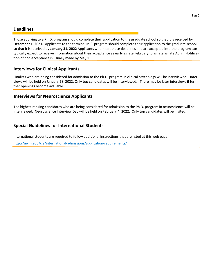Those applying to a Ph.D. program should complete their application to the graduate school so that it is received by **December 1, 2021.** Applicants to the terminal M.S. program should complete their application to the graduate school so that it is received by **January 31, 2022** Applicants who meet these deadlines and are accepted into the program can typically expect to receive information about their acceptance as early as late February to as late as late April. Notification of non-acceptance is usually made by May 1.

## **Interviews for Clinical Applicants**

Finalists who are being considered for admission to the Ph.D. program in clinical psychology will be interviewed. Interviews will be held on January 28, 2022. Only top candidates will be interviewed. There may be later interviews if fur‐ ther openings become available.

## **Interviews for Neuroscience Applicants**

The highest ranking candidates who are being considered for admission to the Ph.D. program in neuroscience will be interviewed. Neuroscience Interview Day will be held on February 4, 2022. Only top candidates will be invited.

## **Special Guidelines for InternaƟonal Students**

International students are required to follow additional instructions that are listed at this web page:

http://uwm.edu/cie/international-admissions/application-requirements/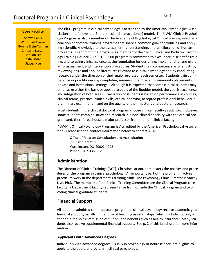# Doctoral Program in Clinical Psychology

#### **Core Faculty**

Shawn Cahill W. Hobart Davies Bonnie Klein‐Tasman Christine Larson Han Joo Lee Krista Lisdahl Stacey Nye

The Ph.D. program in clinical psychology is accredited by the American Psychological Association\* and follows the Boulder (scientist-practitioner) model. The UWM Clinical Psychology Program is also a member of The Academy of Psychological Clinical Science, which is a coalition of doctoral training programs that share a common goal of producing and applying scientific knowledge to the assessment, understanding, and amelioration of human problems. In addition, the program is a member of the Child Clinical and Pediatric Psychology Training Council (CCaPPTC). Our program is committed to excellence in scientific training, and to using clinical science as the foundation for designing, implementing, and evaluating assessment and intervention procedures. Students gain competence as scientists by reviewing basic and applied literatures relevant to clinical psychology and by conducting research under the direction of their major professor each semester. Students gain competence as practitioners by completing seminars, practica, and community placements in private and institutional settings. Although it is expected that some clinical students may emphasize either the basic or applied aspects of the Boulder model, the goal is excellence and integration of both areas. Evaluation of students is based on performance in courses, clinical teams, practica (clinical skills, ethical behavior, accepted professional behavior), a preliminary examination, and on the quality of their master's and doctoral research.

Most students in the clinical doctoral program choose clinical faculty as advisors; however, some students combine study and research in a non-clinical specialty with the clinical program and, therefore, choose a major professor from the non‐clinical faculty.

\*UWM's Clinical Psychology Program is Accredited by the American Psychological Associa‐ tion. Please use the contact information below to contact APA:

Office of Program Consultation and Accreditation 750 First Street, NE Washington, DC 20002‐4242 Phone: 202‐336‐5979

### **AdministraƟon**

The Director of Clinical Training, (DCT), Christine Larson, administers the policies and procedures of the program in clinical psychology. An important part of the program involves practicum work in the department's training clinic. The Psychology Clinic Director is Stacey Nye, Ph.D. The members of the Clinical Training Committee are the Clinical Program core faculty, a Department faculty representative from outside the Clinical program and two voting clinical graduate students.

## **Financial Support**

All students admitted to the doctoral program in clinical psychology receive academic-year financial support, usually in the form of teaching assistantships, which include not only a stipend but also full remission of tuition, and benefits such as health insurance. Many students also receive supplemental financial support. See p. 2 of this brochure for more infor‐ mation.

#### **Applicants with Advanced Degrees**

Individuals with advanced degrees, usually in psychology or neuroscience, are eligible to apply to the doctoral program in clinical psychology.

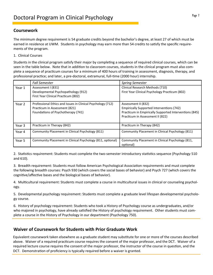### **Coursework**

The minimum degree requirement is 54 graduate credits beyond the bachelor's degree, at least 27 of which must be earned in residence at UWM. Students in psychology may earn more than 54 credits to satisfy the specific requirements of the program.

#### 1. Clinical Courses

Students in the clinical program satisfy their major by completing a sequence of required clinical courses, which can be seen in the table below. Note that in addition to classroom courses, students in the clinical program must also complete a sequence of practicum courses for a minimum of 400 hours of training in assessment, diagnosis, therapy, and professional practice; and later, a pre-doctoral, extramural, full-time (2000 hour) internship.

|        | <b>Fall Semester</b>                                                                                                               | <b>Spring Semester</b>                                                                                                                                                |
|--------|------------------------------------------------------------------------------------------------------------------------------------|-----------------------------------------------------------------------------------------------------------------------------------------------------------------------|
| Year 1 | Assessment I (831)<br>Developmental Psychopathology (912)<br>First Year Clinical Practicum (802)                                   | Clinical Research Methods (710)<br>First Year Clinical Psychology Practicum (802)                                                                                     |
| Year 2 | Professional Ethics and Issues in Clinical Psychology (712)<br>Practicum in Assessment (821)<br>Foundations of Psychotherapy (741) | Assessment II (832)<br><b>Empirically Supported Interventions (742)</b><br>Practicum in Empirically Supported Interventions (845)<br>Practicum in Assessment II (822) |
| Year 3 | Practicum in Therapy (842)                                                                                                         | Practicum in Therapy (842)                                                                                                                                            |
| Year 4 | Community Placement in Clinical Psychology (811)                                                                                   | Community Placement in Clinical Psychology (811)                                                                                                                      |
| Year 5 | Community Placement in Clinical Psychology (811, optional)                                                                         | Community Placement in Clinical Psychology (811,<br>optional)                                                                                                         |

2. Statistics requirement: Students must complete the two-semester introductory statistics sequence (Psychology 510 and 610).

3. Breadth requirement: Students must follow American Psychological Association requirements and must complete the following breadth courses: Psych 930 (which covers the social bases of behavior) and Psych 727 (which covers the cognitive/affective bases and the biological bases of behavior).

4. Multicultural requirement: Students must complete a course in multicultural issues in clinical or counseling psychology.

5. Developmental psychology requirement: Students must complete a graduate level lifespan developmental psychology course.

6. History of psychology requirement: Students who took a History of Psychology course as undergraduates, and/or who majored in psychology, have already satisfied the History of psychology requirement. Other students must complete a course in the History of Psychology in our department (Psychology 750).

## **Waiver of Coursework for Students with Prior Graduate Work**

Equivalent coursework taken elsewhere as a graduate student may substitute for one or more of the courses described above. Waiver of a required practicum course requires the consent of the major professor, and the DCT. Waiver of a required lecture course requires the consent of the major professor, the instructor of the course in question, and the DCT. Demonstration of proficiency is typically required before a waiver is granted.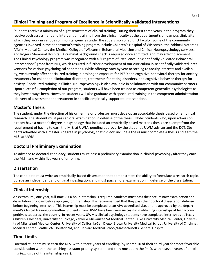## **Clinical Training and Program of Excellence in Scientifically Validated Interventions**

Students receive a minimum of eight semesters of clinical training. During their first three years in the program they receive both assessment and intervention training from the clinical faculty at the department's on-campus clinic after which they work in various community agencies under the supervision of adjunct faculty. Some of the community agencies involved in the department's training program include Children's Hospital of Wisconsin, the Zablocki Veterans Affairs Medical Center, the Medical College of Wisconsin Behavioral Medicine and Clinical Neuropsychology services, and Rogers Memorial Hospital. A criminal background check is required once admitted, and may affect placement. The Clinical Psychology program was recognized with a "Program of Excellence in Scientifically Validated Behavioral Interventions" grant from NIH, which resulted in further development of our curriculum in scientifically validated interventions for various psychological conditions. While offerings vary by year according to faculty interests and availability, we currently offer specialized training in prolonged exposure for PTSD and cognitive-behavioral therapy for anxiety, treatments for childhood elimination disorders, treatments for eating disorders, and cognitive behavior therapy for anxiety. Specialized training in Clinical Neuropsychology is also available in collaboration with our community partners. Upon successful completion of our program, students will have been trained as competent generalist psychologists as they have always been. However, students will also graduate with specialized training in the competent administration -delivery of assessment and treatment in specific empirically-supported interventions.

## **Master's Thesis**

The student, under the direction of his or her major professor, must develop an acceptable thesis based on empirical research. The student must pass an oral examination in defense of the thesis. Note: Students who, upon admission, already have a master's degree in psychology that included an empirically based master's thesis are exempt from the requirement of having to earn the M.S. at UWM, pending approval by the student's UWM advisor and the DCT. Stu‐ dents admiƩed with a master's degree in psychology that did *not* include a thesis must complete a thesis and earn the M.S. at UWM.

## **Doctoral Preliminary Examination**

To advance to doctoral candidacy, students must pass a preliminary examination in clinical psychology after they earn the M.S., and within five years of enrolling.

## **DissertaƟon**

The candidate must write an empirically-based dissertation that demonstrates the ability to formulate a research topic, pursue an independent and original investigation, and must pass an oral examination in defense of the dissertation.

## **Clinical Internship**

An extramural, one-year, full-time 2000 hour internship is required. Students must pass their preliminary examination and dissertation proposal before applying for internship. It is recommended that they pass their doctoral dissertation defense before beginning internship. This internship must be completed at an APA‐accredited site, or one approved by the depart‐ ment's Clinical Training Committee. Students from UWM have been very successful in obtaining internships at highly competitive sites across the country. In recent years, UWM's clinical psychology students have completed internships at Texas Children's Hospital, University of Chicago, Zablocki Milwaukee VA Medical Center, Duke University Medical Center, Universi‐ ty of Mississippi Medical Center, University of California-San Diego, Brown University Medical School, University of Cincinnati Medical Center, Seattle VA, Houston VA, and Harvard Medical School/Massachusetts General Hospital.

## **Time Limits**

Doctoral students must earn the M.S. within three years of enrolling (by March 10 of their third year for most favorable consideration within the teaching assistant priority system), and they must earn the Ph.D. within seven years of enrolling (exclusive of the internship year).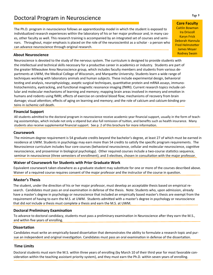# Poctoral Program in Neuroscience **Example 20** and the state of the state of the state of the state of the state of the state of the state of the state of the state of the state of the state of the state of the state of the

The Ph.D. program in neuroscience follows an apprenticeship model in which the student is exposed to individualized research experiences within the laboratory of his or her major professor and, in many cas‐ es, other faculty as well. This research training is accompanied by an integrated set of courses and semi‐ nars. Throughout, major emphasis is placed on the role of the neuroscientist as a scholar - a person who can advance neuroscience through original research.

#### **About Neuroscience**

Neuroscience is devoted to the study of the nervous system. The curriculum is designed to provide students with the intellectual and technical skills necessary for a productive career in academics or industry. Students are part of the greater Milwaukee Area Neuroscience group, which includes faculty members and students from various de‐ partments at UWM, the Medical College of Wisconsin, and Marquette University. Students learn a wide range of techniques working with laboratory animals and human subjects. These include experimental design, behavioral testing and analysis, neurophysiology, aseptic surgical techniques, quantitative protein and mRNA assays, immunohistochemistry, eyetracking, and functional magnetic resonance imaging (fMRI). Current research topics include cellular and molecular mechanisms of learning and memory; mapping brain areas involved in memory and emotion in humans and rodents using fMRI; effects of exercise on cerebral blood flow; mechanisms of recovery from brain damage; visual attention; effects of aging on learning and memory; and the role of calcium and calcium-binding proteins in ischemic cell death.

#### **Financial Support**

All students admitted to the doctoral program in neuroscience receive academic-year financial support, usually in the form of teaching assistantships, which include not only a stipend but also full remission of tuition, and benefits such as health insurance. Many students also receive supplemental financial support. See p. 2 of this brochure for more information.

#### **Coursework**

The minimum degree requirement is 54 graduate credits beyond the bachelor's degree, at least 27 of which must be earned in residence at UWM. Students in psychology may earn more than 54 credits to satisfy the specific program requirements. The Neuroscience curriculum includes four core courses (behavioral neuroscience, cellular and molecular neuroscience, cognitive neuroscience, and proseminar in biological psychology). Other required courses include a two-course statistics sequence, seminar in neuroscience (three semesters of enrollment), and 3 electives, chosen in consultation with the major professor.

#### **Waiver of Coursework for Students with Prior Graduate Work**

Equivalent coursework taken elsewhere as a graduate student may substitute for one or more of the courses described above. Waiver of a required course requires consent of the major professor and the instructor of the course in question.

#### **Master's Thesis**

The student, under the direction of his or her major professor, must develop an acceptable thesis based on empirical research. Candidates must pass an oral examination in defense of the thesis. Note: Students who, upon admission, already have a master's degree in psychology or neuroscience that included an empirically based master's thesis are exempt from the requirement of having to earn the M.S. at UWM. Students admitted with a master's degree in psychology or neuroscience that did *not* include a thesis must complete a thesis and earn the M.S. at UWM.

#### **Doctoral Preliminary Examination**

To advance to doctoral candidacy, students must pass a preliminary examination in Neuroscience after they earn the M.S., and within five years of enrolling.

#### **DissertaƟon**

Candidates must write an empirically-based dissertation that demonstrates the ability to formulate a research topic and pursue an independent and original investigation. Candidates must pass an oral examination in defense of the dissertation.

#### **Time Limits**

Doctoral students must earn the M.S. within three years of enrolling (by March 10 of their third year for most favorable consideration within the teaching assistant priority system), and they must earn the Ph.D. within seven years of enrolling.

**Core Faculty** Caitlin Bowman Ira Driscoll Karyn Frick Deborah Hannula Fred HelmsteƩer James Moyer Rodney Swain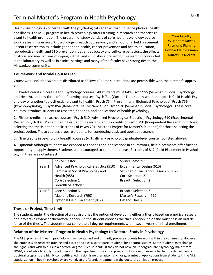# Terminal Master's Program in Health Psychology

Health psychology is concerned with the psychological variables that influence physical health and illness. The M.S. program in health psychology offers training in research and theories rel‐ evant to health promotion. The program of study consists of core health psychology coursework, research coursework, psychology breadth coursework, and an optional field placement. Recent research topics include gender and health, cancer prevention and health education, reproductive health and STD prevention, patient advocacy and self-care behaviors, the effects of stress and mechanisms of coping with it, and child abuse prevention. Research is conducted in the laboratory as well as in clinical settings and many of the faculty have strong ties to the Milwaukee community.

### **Coursework and Model Course Plan**

Coursework includes 36 credits distributed as follows (Course substitutions are permissible with the director's approval):

1. Twelve credits in core Health Psychology courses. All students must take Psych 955 (Seminar in Social Psychology and Health), and any three of the following courses: Psych 711 (Current Topics, only when the topic is Child Health Psychology or another topic directly relevant to health), Psych 754 (Proseminar in Biological Psychology), Psych 756 (Psychophysiology), Psych 854 (Behavioral Neuroscience), or Psych 930 (Seminar in Social Psychology). These core courses introduce students to research, theories, and applications of health psychology.

2. Fifteen credits in research courses: Psych 510 (Advanced Psychological Statistics), Psychology 610 (Experimental Design), Psych 932 (Proseminar in Evaluation Research), and six credits of Psych 790 (Independent Research) for those selecting the thesis option or six credits of Psych 791 (Master's Project for Master's Students) for those selecting the project option. These courses prepare students for conducting basic and applied research.

3. Nine credits in psychology breadth courses (virtually any psychology graduate‐level course not listed above).

4. Optional: Although students are exposed to theories and applications in coursework, field placements offer further opportunity to apply theory. Students are encouraged to complete at least 3 credits of 812 (Field Placement in Psychol‐ ogy) in their area of interest.

|        | <b>Fall Semester</b>                                                                                                                          | <b>Spring Semester</b>                                                                                              |
|--------|-----------------------------------------------------------------------------------------------------------------------------------------------|---------------------------------------------------------------------------------------------------------------------|
| Year 1 | Advanced Psychological Statistics (510)<br>Seminar in Social Psychology and<br>Health (955)<br>Core Selection 1<br><b>Breadth Selection 1</b> | Experimental Design (610)<br>Seminar in Evaluation Research (932)<br>Core Selection 2<br><b>Breadth Selection 2</b> |
| Year 2 | Core Selection 3<br>Master's Research (790)<br>Optional: Field Placement (812)                                                                | <b>Breadth Selection 3</b><br>Master's Research (790)<br><b>Defend Thesis</b>                                       |

## **Thesis or Project, Time Limit**

The student, under the direction of an advisor, has the option of developing either a thesis based on empirical research or a project (a review or theoretical paper). If the student chooses the thesis option, he or she must pass an oral defense of the thesis. The student must complete all degree requirements within seven years of initial enrollment.

## **RelaƟon of the Master's Program in Health Psychology to Doctoral Study in Psychology**

The M.S. program in health psychology is self-contained and primarily prepare students for work within the community. However, the emphasis on research training and basic principles also prepares students for doctoral studies. Some students may change their goals and wish to pursue a doctoral degree. Such students, if they do not have an undergraduate psychology major from UWM, are eligible to apply for admission to the department's doctoral programs. However, please note that the department's doctoral programs are highly competitive. Admission is neither automatic nor guaranteed. Applications from students in the M.S. specialization in health psychology are *not* given preferential treatment in the doctoral admission process.

**Core Faculty**  W. Hobart Davies Raymond Fleming Bonnie Klein‐Tasman **Marcellus Merritt**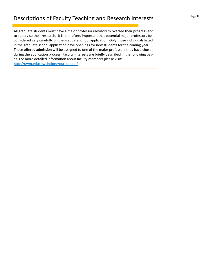All graduate students must have a major professor (advisor) to oversee their progress and to supervise their research. It is, therefore, important that potential major professors be considered very carefully on the graduate school application. Only those individuals listed in the graduate school application have openings for new students for the coming year. Those offered admission will be assigned to one of the major professors they have chosen during the application process. Faculty interests are briefly described in the following pages. For more detailed information about faculty members please visit: http://uwm.edu/psychology/our-people/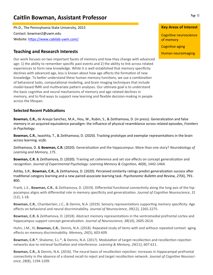# **Caitlin Bowman, Assistant Professor**

Ph.D., The Pennsylvania State University, 2015 Contact: bowman2@uwm.edu Website: https://www.cabilab-uwm.com/

## **Teaching and Research Interests**

Our work focuses on two important facets of memory and how they change with advanced age: 1) the ability to remember specific past events and 2) the ability to link across related experiences to form new knowledge. While it is well established that memory specificity declines with advanced age, less is known about how age affects the formation of new knowledge. To better understand these human memory functions, we use a combination of behavioral tasks, computational modeling, and brain imaging techniques that include model-based fMRI and multivariate pattern analyses. Our ultimate goal is to understand the basic cognitive and neural mechanisms of memory and age-related declines in memory, and to find ways to support new learning and flexible decision-making in people across the lifespan.

### **Selected Recent PublicaƟons**

**Bowman, C.R.,** de Araujo Sanchez, M.A., Hou, W., Rubin, S., & Zeithamova, D. (in press). Generalization and false memory in an acquired equivalence paradigm: the influence of physical resemblance across related episodes, *Frontiers in Psychology*.

**Bowman, C.R.**, Iwashita, T., & Zeithamova, D. (2020). Tracking prototype and exemplar representations in the brain across learning. *eLife.*

Zeithamova, D. & **Bowman, C.R.** (2020). GeneralizaƟon and the hippocampus: More than one story? *Neurobiology of Learning and Memory, 175*.

**Bowman, C.R.** & Zeithamova, D. (2020). Training set coherence and set size effects on concept generalization and recogniƟon. *Journal of Experimental Psychology: Learning Memory & CogniƟon, 46*(8), 1442‐1464*.*

Ashby, S.R., **Bowman, C.R.,** & Zeithamova, D. (2020). Perceived similarity ratings predict generalization success after tradiƟonal category learning and a new paired‐associate learning task. *Psychonomic BulleƟn and Review, 27*(4), 791‐ 800.

Frank, L.E., **Bowman, C.R.**, & Zeithamova, D. (2019). Differential functional connectivity along the long axis of the hippocampus aligns with differenƟal role in memory specificity and generalizaƟon. *Journal of CogniƟve Neuroscience*, *31* (12), 1‐18.

**Bowman, C.R.**, Chamberlain, J.C., & Dennis, N.A. (2019). Sensory representations supporting memory specificity: Age effects on behavioral and neural discriminability. *Journal of Neuroscience*, *39*(12), 2265‐2275.

**Bowman, C.R.** & Zeithamova, D. (2018). Abstract memory representations in the ventromedial prefrontal cortex and hippocampus support concept generalizaƟon. *Journal of Neuroscience, 38*(10), 2605‐2614.

Huhn, J.M., III, **Bowman, C.R.**, Dennis, N.A. (2018). Repeated study of items with and without repeated context: aging effects on memory discriminability. *Memory, 26*(5)*,* 603‐609*.*

**Bowman, C.R.\***, Shalome, S.L.\*, & Dennis, N.A. (2017). Modulation of target recollection and recollection rejection networks due to retrieval facilitaƟon and interference. *Learning & Memory, 24(11)*, 607‐611.

Bowman, C.R., & Dennis, N.A. (2016). The neural basis of recollection rejection: increases in hippocampal-prefrontal connectivity in the absence of a shared recall-to reject and target recollection network. *Journal of Cognitive Neuroscience, 28*(8), 1194‐1209.

#### **Key Areas of Interest**

Cognitive neuroscience of memory

Cognitive aging

Human neuroimaging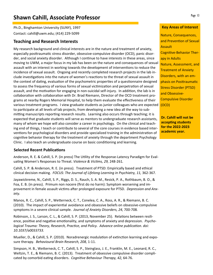# **Shawn Cahill, Associate Professor**

Ph.D., Binghamton University (SUNY), 1997 Contact: cahill@uwm.edu; (414) 229‐5099

### **Teaching and Research Interests**

My research background and clinical interests are in the nature and treatment of anxiety, especially posttraumatic stress disorder, obsessive-compulsive disorder (OCD), panic disorder, and social anxiety disorder. Although I continue to have interests in these areas, since moving to UWM, a major focus in my lab has been on the nature and consequences of sexual assault with an interest in working towards the development of interventions to reduce the incidence of sexual assault. Ongoing and recently completed research projects in the lab in‐ clude investigations into the nature of women's reactions to the threat of sexual assault in the context of dating, evaluation of the psychometric properties of a questionnaire designed to assess the frequency of various forms of sexual victimization and perpetration of sexual assault, and the motivation for engaging in non-suicidal self-injury. In addition, the lab is in collaboration with collaboration with Dr. Brad Riemann, Director of the OCD treatment programs at nearby Rogers Memorial Hospital, to help them evaluate the effectiveness of their various treatment programs. I view graduate students as junior colleagues who are expected to participate at all levels of lab projects, from developing a new idea all the way to submitting manuscripts reporting research results. Learning also occurs through teaching; it is expected that graduate students will serve as mentors to undergraduate research assistants, many of whom we hope will also consider a career in psychology. On the clinical and teach‐ ing end of things, I teach or contribute to several of the core courses in evidence based inter‐ ventions for psychological disorders and provide specialized training in the administration of cognitive behavior therapy for the treatment of anxiety through the department Psychology Clinic. I also teach an undergraduate course on basic conditioning and learning.

#### **Selected Recent PublicaƟons**

Anderson, R. E. & Cahill, S. P. (in press) The Utility of the Response-Latency Paradigm for EvaluaƟng Women's Responses to Threat. *Violence & VicƟms, 29,* 248‐261*.*

Cahill, S. P. & Anderson, R. E. (in press). Treatment of PTSD: Empirically based and ethical clinical decision making. *FOCUS: The Journal of Lifelong Learning in Psychiatry, 11,* 362‐367*.*

Jayawickreme, N., Cahill, S. P., Riggs, D. S., Rauch, S. A. M., Resick, P. A., Rothbaum, B. O., & Foa, E. B. (in press). Primum non nocere (first do no harm): Symptom worsening and im‐ provement in female assault victims after prolonged exposure for PTSD. *Depression and Anxiety.*

Manos, R. C., Cahill, S. P., Wetterneck, C. T., Conelea, C. A., Ross, A. R., & Riemann, B. C. (2010). The impact of experiential avoidance and obsessive beliefs on obsessive-compulsive symptoms in a severe clinical sample. *Journal of Anxiety Disorders, 24,* 700‐708*.*

Robinson, J. S., Larson, C. L., & Cahill, S. P. (2013, November 25). Relations between resilience, positive and negative emotionality, and symptoms of anxiety and depression. *Psychological Trauma: Theory, Research, PracƟce, and Policy. Advance online publicaƟon. doi: 10.1037/a0033733.* 

Mueller, D., & Cahill, S. P. (2010). Noradrenergic modulation of extinction learning and exposure therapy. *Behavioural Brain Research, 208,* 1‐11.

Simpson, H. B., Wetterneck, C. T., Cahill, S. P., Steinglass, J. E., Franklin, M. E., Leonard, R. C., Weltzin, T. E., & Riemann, B. C. (2013). Treatment of obsessive compulsive disorder complicated by comorbid eaƟng disorders. *CogniƟve Behaviour Therapy, 42,* 64‐76.

#### **Key Areas of Interest**

Nature, Consequences, and Prevention of Sexual Assault Cognitive-Behavior Therapy in Adults Nature, Assessment, and Treatment of Anxiety Disorders, with an em‐ phasis on Posttraumatic Stress Disorder (PTSD) and Obsessive‐ Compulsive Disorder (OCD)

**Dr. Cahill will not be accepƟng students for the 2022‐2023 academic year.**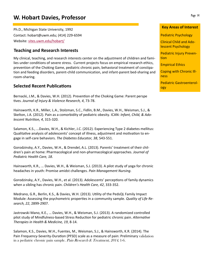# **W. Hobart Davies, Professor Page 14**

Ph.D., Michigan State University, 1992 Contact: hobart@uwm.edu; (414) 229‐6594 Website: sites.uwm.edu/hobart/

### **Teaching and Research Interests**

My clinical, teaching, and research interests center on the adjustment of children and fami‐ lies under conditions of severe stress. Current projects focus on empirical research ethics, prevention of the Choking Game, pediatric chronic pain, behavioral treatment of constipa‐ tion and feeding disorders, parent‐child communication, and infant‐parent bed‐sharing and room‐sharing.

### **Selected Recent PublicaƟons**

Bernacki, J.M., & Davies, W.H. (2012). Prevention of the Choking Game: Parent perspe Ɵves. *Journal of Injury & Violence Research, 4*, 73‐78.

Hainsworth, K.R., Miller, L.A., Stolzman, S.C., Fidlin, B.M., Davies, W.H., Weisman, S.J., & Skelton, J.A. (2012). Pain as a comorbidity of pediatric obesity. ICAN: *Infant, Child, & Adolescent NutriƟon, 4*, 315‐320.

Salamon, K.S., ...Davies, W.H., & Kichler, J.C. (2012). Experiencing Type 2 diabetes mellitus: Qualitative analysis of adolescents' concept of illness, adjustment and motivation to engage in self‐care behaviors. *The Diabetes Educator, 38*, 543‐551.

Gorodzinsky, A.Y., Davies, W.H., & Drendel, A.L. (2013). Parents' treatment of their chil‐ dren's pain at home: Pharmacological and non‐pharmacological approaches. *Journal of Pediatric Health Care, 18*.

Hainsworth, K.R., … Davies, W.H., & Weisman, S.J. (2013). A pilot study of yoga for chronic headaches in youth: Promise amidst challenges. *Pain Management Nursing*.

Gorodzinsky, A.Y., Davies, W.H., et al. (2013). Adolescents' perceptions of family dynamics when a sibling has chronic pain. *Children's Health Care, 42*, 333‐352.

Medrano, G.R., Berlin, K.S., & Davies, W.H. (2013). Utility of the PedsQL Family Impact Module: Assessing the psychometric properties in a community sample. *Quality of Life Research, 22*, 2899‐2907.

Jastrowski Mano, K.E., … Davies, W.H., & Weisman, S.J. (2013). A randomized controlled pilot study of Mindfulness-based Stress Reduction for pediatric chronic pain. Alternative *Therapies in Health & Medicine, 19*, 8‐14.

Salamon, K.S., Davies, W.H., Fuentes, M., Weisman, S.J., & Hainsworth, K.R. (2014). The Pain Frequency‐Severity‐Duration (PFSD) scale as a measure of pain: Preliminary validation in a pediatric chronic pain sample. Pain Research & Treatment, 2014, 1-6.

Pediatric Psychology

Clinical Child and Ado‐ lescent Psychology

Pediatric Injury Preven‐ tion

Empirical Ethics

Coping with Chronic Ill‐ ness

Pediatric Gastroenterol‐ ogy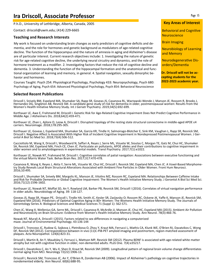# **Ira Driscoll, Associate Professor**

P.h.D., University of Lethbridge, Alberta, Canada, 2005

Contact: driscoli@uwm.edu; (414) 229‐6665

#### **Teaching and Research Interests**

My work is focused on understanding brain changes as early predictors of cognitive deficits and de‐ mentia, and the role for hormones and genetic background as modulators of age-related cognitive decline. The function of the hippocampus and the nature of amnesia in aging and Alzheimer's disease are of particular interest. Current research objectives include: 1. Investigating the nature of genetic risk for age‐related cognitive decline, the underlying neural circuitry and dynamics, and the role of hormone treatment as a modifier. 2. Investigating factors that reduce the risk of cognitive decline and dementia. 3. Understanding the function of the hippocampal formation and the anatomical and func‐ tional organization of learning and memory, in general. 4. Spatial navigation, sexually dimorphic be‐ havior and hormones.

Courses Taught: Psych 254: Physiological Psychology, Psychology 433: Neuropsychology, Psych 680: Psychology of Aging, Psych 654: Advanced Physiological Psychology, Psych 854: Behavioral Neuroscience

#### **Selected Recent PublicaƟons**

Driscoll I, Snively BM, Espeland MA, Shumaker SA, Rapp SR, Goveas JS, Casanova RL, Wactawski‐Wende J, Manson JE, Rossom R, Brooks J, Hernandez DG, Singleton AB, Resnick SM. A candidate gene study of risk for dementia in older, postmenopausal women: Results from the Women's Health Initiative Memory Study. Int J Geriatr Psychiatry. 2019;34(5):692‐699.

Korthauer LE, Awe E, Frahmand M, Driscoll I. Genetic Risk for Age‐Related Cognitive Impairment Does Not Predict Cognitive Performance in Middle Age. J Alzheimers Dis. 2018;64(2):459‐471.

Korthauer LE, Zhan L, Ajilore O, Leow A, Driscoll I. Disrupted topology of the resting state structural connectome in middle‐aged APOE ε4 carriers. Neuroimage. 2018;178:295‐305.

Korthauer LE, Goveas J, Espeland MA, Shumaker SA, Garcia KR, Tindle H, Salmoirago‐Blotcher E, Sink KM, Vaughan L, Rapp SR, Resnick SM, Driscoll I. Negative Affect Is Associated With Higher Risk of Incident Cognitive Impairment in Nondepressed Postmenopausal Women. J Ger-<br>ontol A Biol Sci Med Sci. 2018;73(4):506‐512.

Cacciottolo M, Wang X, Driscoll I, Woodward N, Saffari A, Reyes J, Serre ML, Vizuete W, Sioutas C, Morgan TE, Gatz M, Chui HC, Shumaker SA, Resnick SM, Espeland MA, Finch CE, Chen JC. Particulate air pollutants, APOE alleles and their contributions to cognitive impairment in older women and to amyloidogenesis in experimental models. Transl Psychiatry. 2017;7(1):e1022.

Korthauer LE, Nowak NT, Frahmand M, Driscoll I. Cognitive correlates of patial navigation: Associations between executive functioning and the virtual Morris Water Task. Behav Brain Res. 2017;317:470‐478.

Casanova R, Wang X, Reyes J, Akita Y, Serre ML, Vizuete W, Chui HC, Driscoll I, Resnick SM, Espeland MA, Chen JC. A Voxel-Based Morphome-<br>try Study Reveals Local Brain Structural Alterations Associated with Ambient Fine Pa 2016;10:495.

Driscoll I, Shumaker SA, Snively BM, Margolis KL, Manson JE, Vitolins MZ, Rossom RC, Espeland MA. Relationships Between Caffeine Intake and Risk for Probable Dementia or Global Cognitive Impairment: The Women's Health Initiative Memory Study. J Gerontol A Biol Sci Med Sci. 2016;71(12):1596‐1602.

Korthauer LE, Nowak NT, Moffat SD, An Y, Rowland LM, Barker PB, Resnick SM, Driscoll I (2016). Correlates of virtual navigation performance in older adults. Neurobiology of Aging. 39: 118‐127.

Goveas JS, Rapp SR, Hogan PE, Driscoll I, Tindle HA, Smith JC, Kesler SR, Zaslavsky O; Rossom RC, Ockene JK, Yaffe K, Manson JE, Resnick SM, Espeland MA (2016). Predictors of Optimal Cognitive Aging in 80+ Women: The Womens Health Initiative Memory Study. The Journals of Gerontology Series A: Biological Sciences and Medical Sciences 71 (Suppl 1): S62‐S71.

Chen JC, Wang X, Wellenius GA, Serre ML, Driscoll I, Casanova R, McArdle JJ, Manson JE, Chui HC, Espeland MA (2015). Ambient Air Pollution and Neurotoxicity on Brain Structure: Evidence from Women's Health Initiative Memory Study. Ann Neurol. 78(3):466‐76.

Nowak NT, Murali A, Driscoll I (2015). Factors related to sex differences in navigating a computerized maze. Journal of Environmental Psychology. 43:136‐144

Driscoll I, Troncoso JC, Rudow G, Sojkova J, Pletnikova O, Zhou Y, Kraut MA, Ferrucci L, Mathis CA, Klunk WE, O'Brien RJ, Davatzikos C, Wong DF, Resnick SM (2012). Correspondence between in vivo (11)C‐PiB‐PET amyloid imaging and postmortem, region‐matched assessment of plaques. Acta Neuropathol. 124(6):823‐31.

Driscoll I, Martin B, An Y, Maudsley S, Ferrucci L, Mattson MP, Resnick SM (2012). Plasma BDNF is associated with age‐related white matter atrophy but not with cognitive function in older, non‐demented adults. PLoS One. 7(4):e35217.

Driscoll I, Davatzikos C, An Y, Wu X, Shen D, Kraut M, Resnick SM (2009). Longitudinal pattern of regional brain volume change differentiates normal aging from MCI. Neurology 72(22):1906‐13.

Driscoll I, Resnick SM, Troncoso JC, An Y, O'Brien R, Zonderman AB (2006). Impact of Alzheimer's pathology on cognitive trajectories in nondemented elderly. Ann Neurol. 60(6):688‐95.

#### **Key Areas of Interest**

**Behavioral and Cognitive Neuroscience** 

Brain Imaging

Neurobiology of Learning and Memory

Neurodegenerative Disorders/Dementia

**Dr. Driscoll will not be ac‐ cepting students for the 2022‐2023 academic year.**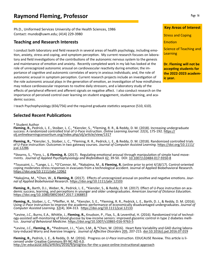Ph.D., Uniformed Services University of the Health Sciences, 1986 Contact: mundo@uwm.edu; (414) 229‐3980

## **Teaching and Research Interests**

I conduct both laboratory and field research in several areas of health psychology, including emo‐ tion, anxiety, stress and coping, and symptom perception. My current research focuses on laboratory and field investigations of the contributions of the autonomic nervous system to the genesis and maintenance of emotion and anxiety. Recently completed work in my lab has looked at the role of unrecognized autonomic arousal on cardiovascular reactivity during emotion; the importance of cognitive and autonomic correlates of worry in anxious individuals; and, the role of autonomic arousal in symptom perception. Current research projects include an investigation of the role autonomic arousal plays in the generation of emotion, an investigation of how mindfulness may reduce cardiovascular responses to routine daily stressors, and a laboratory study of the effects of peripheral efferent and afferent signals on negative affect. I also conduct research on the importance of perceived control over learning on student engagement, student learning, and academic success.

I teach Psychophysiology (656/756) and the required graduate statistics sequence (510, 610).

## **Selected Recent PublicaƟons**

\* Student Author

**Fleming, R.,** Pedrick, L. E., Stoiber, L. C., \*Kienzler, S., \*Fleming, R. R., & Reddy, D. M. (2018). Increasing undergraduate success: A randomized controlled trial of U-Pace instruction. *Online Learning Journal*. 22(3), 175-192. https:// olj.onlinelearningconsortium.org/index.php/olj/article/view/1317

**Fleming, R.,** \*Kienzler, S., Stoiber, L. C., \*Fleming, R. R., Pedrick, L. E., & Reddy, D. M. (2018). Randomized controlled trials of U-Pace instruction: Outcomes in two gateway courses. Journal of Computer Assisted Learning. https://doi.org/10.1111/ jcal.12286

\*Stearns, S., \*Fero, L., & Fleming, R. (2017). Regulating emotional arousal through manipulation of simple hand move-<br>ments. Journal of Applied Psychophysiology and Biofeedback 42, 39-50. DOI: 10.1007/s10484-017-9350-8

\*Toussaint, L., \*Lange, L. J., \*O'Connor, M., \*Nakajima, M., & **Fleming, R.** (online prior to print 4/18/17). Control‐oriented coping moderates stress responses in evacuees from a technological accident. Journal of Applied Biobehavioral Research. https://doi.org/10.1111/jabr.12062

\*Nakajima, M., \*Chen, W., & Fleming, R. (2017). Effects of unrecognized arousal on positive and negative emotions. Jour*nal of Applied Biobehavioal Research.* hƩps://doi.org/10.1111/jabr.12103

Fleming, R., Barth, D.J., Weber, N., Pedrick, L. E., \*Kienzler, S., & Reddy, D. M. (2017). Effect of U-Pace instruction on aca-<br>demic success, learning, and perceptions in younger and older undergraduates. American Journal

**Fleming, R.,** Stoiber, L. C., \*Pfeiffer, H. M., \*Kienzler, S. E., \*Fleming, R. R., Pedrick, L. E., Barth, D. J., & Reddy, D. M. (2016). Using *U-Pace* instrucƟon to improve the academic performance of economically disadvantaged undergraduates. *Journal of Computer Assisted Learning*. 32(4), 304‐313. hƩps://doi.org/10.1111/jcal.12133

\*Levine, J.C., Burns, E.A., Whittle, J., **Fleming, R.,** Knudson, P., Flax, S., & Leventhal, H. (2016). Randomized trial of technol-<br>ogy-assisted self-monitoring of blood glucose by low-income seniors: improved glycemic con

\*Levine, J.C., Fleming, R., \*Piedmont, J.I., \*Cain, S.M., & \*Chen, W. (2016). Heart Rate Variability and GAD during labora-<br>tory-induced Worry and Aversive Imagery. Journal of Affective Disorders 205, 207-215. doi:10.1016/

**Fleming, R.,** Pedrick, L. E., & Reddy, D. M. (2016). Progress on *U-Pace* instruction. EDUCAUSE Review. This article is licensed under Creative Commons BY‐NC‐ND 4.0. http://er.educause.edu/articles/2016/9/progress-for-the-u-pace-online-instructional-approach

### **Key Areas of Interest**

Stress and Coping

Emotion

Science of Teaching and **Learning** 

**Dr. Fleming will not be accepƟng students for the 2022‐2023 academ‐ ic year.**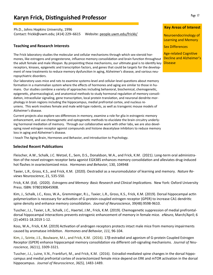# **Karyn Frick, Distinguished Professor**

Ph.D., Johns Hopkins University, 1996 Contact: frickk@uwm.edu; (414) 229–6615 Website: people.uwm.edu/frickk/

#### **Teaching and Research Interests**

The Frick laboratory studies the molecular and cellular mechanisms through which sex‐steroid hor‐ mones, like estrogens and progesterone, influence memory consolidation and brain function throughout the adult female and male lifespan. By pinpointing these mechanisms, our ultimate goal is to identify key receptors, kinases, epigenetic and transcription factors, and genes that could be targets for the development of new treatments to reduce memory dysfunction in aging, Alzheimer's disease, and various neuropsychiatric disorders.

Our laboratory uses mice and rats to examine systems-level and cellular-level questions about memory formation in a mammalian system where the effects of hormones and aging are similar to those in humans. Our studies combine a variety of approaches including behavioral, biochemical, chemogenetic, epigenetic, pharmacological, and anatomical methods to study hormonal regulation of memory consolidation, intracellular signaling, gene transcription, local protein translation, and neuronal dendrite morphology in brain regions including the hippocampus, medial prefrontal cortex, and nucleus re‐ uniens. This work involves female and male wild-type rodents, as well as transgenic mouse models of Alzheimer's disease.

Current projects also explore sex differences in memory, examine a role for glia in estrogenic memory enhancement, and use chemogenetic and optogenetic methods to elucidate the brain circuitry underlying hormonal mediation of memory. Through our collaborative work with other labs, we are also developing novel estrogen receptor agonist compounds and histone deacetylase inhibitors to reduce memory loss in aging and Alzheimer's disease.

I teach The Aging Brain, Hormones and Behavior, and Introduction to Psychology.

#### **Selected Recent PublicaƟons**

Fleischer, A.W., Schalk, J.C. Wetzel, E., Sem, D.S., Donaldson, W.A., and Frick, K.M. (2021). Long-term oral administration of the novel estrogen receptor beta agonist EGX385 enhances memory consolidation and alleviates drug-induced hot flashes in ovariectomized mice. *Hormones and Behavior*, 130, 104948

Taxier, L.R., Gross, K.S., and Frick, K.M. (2020). Oestradiol as a neuromodulator of learning and memory. *Nature Reviews Neuroscience*, 21, 535‐550.

Frick, K.M. (Ed). (2020). *Estrogens and Memory: Basic Research and Clinical ImplicaƟons.* New York: Oxford University Press. ISBN: 9780190645908.

Kim, J., Schalk, J.C., Koss, W.A., Gremminger, R.L., Taxier, L.R., Gross, K.S., Frick, K.M. (2019). Dorsal hippocampal actin polymerization is necessary for activation of G-protein-coupled estrogen receptor (GPER) to increase CA1 dendritic spine density and enhance memory consolidation. *Journal of Neuroscience*, 39(48):9598-9610.

Tuscher, J.J., Taxier, L.R., Schalk, J.C., Haertel, J.M., Frick, K.M. (2019). Chemogenetic suppression of medial prefrontaldorsal hippocampal interactions prevents estrogenic enhancement of memory in female mice. *eNeuro*, March/April; 6 (2) e0451‐18.2019 1‐12.

Koss, W.A., Frick, K.M. (2019) Activation of androgen receptors protects intact male mice from memory impairments caused by aromatase inhibition. *Hormones and Behavior*, 111, 96-104.

Kim, J., Szinte, J.S., Boulware, M.I., and Frick, K.M. (2016). 17β‐estradiol and agonism of G‐protein Coupled Estrogen Receptor (GPER) enhance hippocampal memory consolidation via different cell‐signaling mechanisms. *Journal of Neuroscience, 36(11),* 3309‐3321*.*

Tuscher, J.J., Luine, V.N., Frankfurt, M., and Frick, K.M. (2016). Estradiol‐mediated spine changes in the dorsal hippo‐ campus and medial prefrontal cortex of ovariectomized female mice depend on ERK and mTOR activation in the dorsal hippocampus. *Journal of Neuroscience*, *36(5),* 1483‐1489.

#### **Key Areas of Interest**

Neuroendocrinology of Learning and Memory

Sex Differences

Age‐related Cognitive Decline and Alzheimer's Disease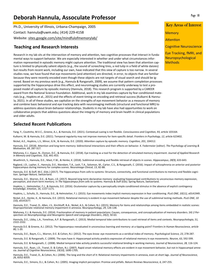# **Deborah Hannula, Assoculate Professor**

Ph.D., University of Illinois, Urbana‐Champaign, 2005 Contact: hannula@uwm.edu; (414) 229‐4158 Website: sites.google.com/site/mindfulofmemorylab/

## **Teaching and Research Interests**

Research in my lab sits at the intersection of memory and attention, two cognitive processes that interact in fundamental ways to support behavior. We are especially interested in whether and under what circumstances infor‐ mation represented in episodic memory might capture attention. The traditional view has been that attention capture is limited to physically salient objects (e.g., the sound of screeching tires, a red tulip in a field of white daisies) but results from recent work, including our own, have indicated that this view of capture is too narrow. In several studies now, we have found that eye movements (and attention) are directed, in error, to objects that are familiar because they were recently encoded even though these objects are not targets of visual search and should be ignored. Based on my previous work (e.g., Hannula & Ranganath, 2009), we assume that pattern completion processes supported by the hippocampus drive this effect, and neuroimaging studies are currently underway to test a pro‐ posed model of capture by episodic memory (Hannula, 2018). This research program is supported by a CAREER award from the National Science Foundation. Additional, work in my lab examines capture by fear conditioned materials (e.g., Hopkins et al., 2015) and the effects of event timing on encoding and retrieval success (Kulkarni & Hannu‐ la, 2021). In all of these studies, we capitalize on the strengths of eye movement behavior as a measure of memory and combine basic behavioral and eye tracking data with neuroimaging methods (structural and functional MRI) to address questions about brain‐behavior relationships. Students in my lab have also had opportunities to work on collaborative projects that address questions about the integrity of memory and brain health in clinical populations and older adults.

## **Selected Recent PublicaƟons**

Yang, Y., Coutinho, M.V.C., Greene, A.J., & Hannula, D.E. (2021). Contextual cueing is not flexible. Consciousness and Cognition, 93, article 103164.

Kulkarni, M. & Hannula, D.E. (2021). Temporal regularity may not improve memory for item-specific detail. *Frontiers in Psychology, 12*, article 623402.

Nickel, A.E., Hopkins, L.S., Minor, G.N., & Hannula, D.E. (2020). AƩenƟon capture by episodic memory. *CogniƟon, 201*, 104312.

Hannula, D.E. (2018). Attention and long‐term memory: bidirectional interactions and their effects on behavior. K. Federmeier (editor). *The Psychology of Learning & Motivation, 69*, 287‐317.

Mahoney, E.J., Kapur, N., Osmon, D.C., & Hannula, D.E. (2018). Eye tracking as a tool for the detection of simulated memory impairment. *Journal of Applied Research in Memory and Cognition, 7(3)*, 441‐453.

Wuethrich, S., Hannula, D.E., Mast, F.W., & Henke, K. (2018). Subliminal encoding and flexible retrieval of objects in scenes. *Hippocampus, 28(9)*, 633‐643.

Ragland, J.D., Layher, E., Hannula, D.E., Niendam, T.A., Lesh, T.A., Solomon, M., Carter, C.S., & Ranganath, C. (2016). Impact of schizophrenia on anterior and posterior hippocampus during memory for complex scenes. *Neuroimage Clinical, 13*, 82‐88.

Hannula, D.E. & Duff, M.C. (Eds.) (2017). The hippocampus from cells to systems: Structure, connectivity, and functional contributions to memory and flexible cogni‐ tion. *Springer Nature,* Switzerland.

Hannula, D.E., Warren, D.E., & Ryan, J.D. (2017). Beyond long-term declarative memory: evaluating hippocampal contributions to unconscious memory expression, perception, and short‐term memory. In *The hippocampus from cells to systems.* Hannula & Duff (Eds). Spring Nature, Switzerland.

Hopkins, L., Helmstetter, F.J., & Hannula, D.E. (2016). Oculomotor capture by a perceptually simple conditioned stimulus in the absence of explicit contingency knowledge. *Emotion, 16*, 1157‐1171.

Hopkins, L., Schultz, D., Hannula, D.E., & Helmstetter, F.J. (2015). Eye movements index implicit memory expression in fear conditioning. *PLoS ONE, 10(11),* e0141949.

Nickel, A.E., Henke, K., & Hannula, D.E. (2015). Relational memory is evident in eye movement behavior despite the use of subliminal testing methods. *PLoS ONE, 10 (10),* e0141677.

Hannula, D.E., Tranel, D., Allen, J.S., Kirchhoff, B.A., Nickel, A.S., & Cohen, N.J. (2015). Memory for items and relationships among items embedded in realistic scenes: Disproportionate relational memory impairment in amnesia. *Neuropsychology, 29*, 126‐138.

Mahoney, E.J. & Hannula, D.E. (2014). Fractionation of memory in patient populations: Causes, consequences, and conceptualization of memory disorders. *SIG 2 Perspectives on Neurophysiology and Neurogenic Speech and Language Disorders, 24(2)*, 50‐63.

Hannula, D.E., Libby, L.A., Yonelinas, A.P. & Ranganath, C. (2013). Medial temporal lobe contributions to cued retrieval of items and contexts. *Neuropsychologia, 51,* 2322‐2332.

Hannula D.E. & Greene, A.J. (2012). The hippocampus reevaluated in unconscious learning and memory: at a tipping point? *Frontiers in Human Neuroscience, article 80,* 1‐20.

Hannula, D.E., Baym, C.L., Warren, D.E. & Cohen, N.J. (2012). The eyes know: eye movements as a veridical index of memory. *Psychological Science, 23*, 278‐287.

Hannula, D.E. & Ranganath, C. (2009). The eyes have it: Hippocampal activity predicts expression of relational memory in eye movements. *Neuron, 63*, 592‐599.

Hannula, D.E. & Ranganath, C. (2008). Medial temporal lobe activity predicts successful relational binding in working memory. *Journal of Neuroscience, 28,* 116‐124*.*

Hannula, D.E., Ryan, J.D., Tranel, D. & Cohen, N.J. (2007). Rapid onset relational memory effects are evident in eye movement behavior, but not in hippocampal amne-<br>sia. Journal of Cognitive Neuroscience, 19(10), 1690-1705

Hannula, D.E., Tranel, D., & Cohen, N.J. (2006). The long and the short of it: Relational memory impairments in amnesia, even at short lags. *Journal of Neuroscience, 26*, 8352‐8359.

Hannula, D.E., Simons, D.J., & Cohen, N.J. (2005). Imaging implicit perception: Promise and pitfalls. *Nature Reviews Neuroscience, 6*, 247‐255.

#### Key Areas of Interest

Page 18

**Memory** 

**Attention** 

**Cognitive Neuroscience** 

Eye Tracking, fMRI, and Neuropsychological **Methods**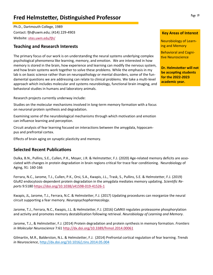# **Fred Helmstetter, Distinguished Professor Fage 19** Page 19

Ph.D., Dartmouth College, 1989 Contact: fjh@uwm.edu; (414) 229-4903 Website: sites.uwm.edu/fjh/

## **Teaching and Research Interests**

The primary focus of our work is on understanding the neural systems underlying complex psychological phenomena like learning, memory, and emotion. We are interested in how memory is stored in the brain, how experience and learning can modify the nervous system, and how brain systems work together to solve these problems. While the emphasis in my lab is on basic science rather than on neuropathology or mental disorders, some of the fun‐ damental questions we are addressing can relate to clinical problems. We take a multi‐level approach which includes molecular and systems neurobiology, functional brain imaging, and behavioral studies in humans and laboratory animals.

Research projects currently underway include:

Studies on the molecular mechanisms involved in long‐term memory formation with a focus on neuronal protein synthesis and degradation.

Examining some of the neurobiological mechanisms through which motivation and emotion can influence learning and perception.

Circuit analysis of fear learning focused on interactions between the amygdala, hippocam‐ pus and prefrontal cortex.

Effects of brain aging on synaptic plasticity and memory.

## **Selected Recent Publications**

Dulka, B.N., Pullins, S.E., Cullen, P.K., Moyer, J.R. & Helmstetter, F.J. (2020) Age-related memory deficits are associated with changes in protein degradation in brain regions critical for trace fear conditioning. Neurobiology of Aging, 91: 160‐166

Ferrara, N.C., Jarome, T.J., Cullen, P.K., Orsi, S.A., Kwapis, J.L., Trask, S., Pullins, S.E. & Helmstetter, F.J. (2019) GluR2 endocytosis‐dependent protein degradation in the amygdala mediates memory updating. *Scientific Reports* 9:5180 https://doi.org/10.1038/s41598‐019‐41526‐1

Kwapis, JL, Jarome, T.J., Ferrara, N.C. & Helmstetter, F.J. (2017) Updating procedures can reorganize the neural circuit supporting a fear memory. *Neuropsychopharmacology*.

Jarome, T.J., Ferrara, N.C., Kwapis, J.L. & Helmstetter, F.J. (2016) CaMKII regulates proteasome phosphorylation and activity and promotes memory destabilization following retrieval. *Neurobiology of Learning and Memory*.

Jarome, T.J., & Helmstetter, F.J. (2014) Protein degradation and protein synthesis in memory formation. *Frontiers in Molecular Neuroscience* 7:61 http://dx.doi.org/10.3389/fnmol.2014.00061

Gilmartin, M.R., Balderston, N.L. & Helmstetter, F.J. (2014) Prefrontal cortical regulation of fear learning. *Trends in Neuroscience*, http://dx.doi.org/10.1016/j.tins.2014.05.004

#### **Key Areas of Interest**

Neurobiology of Learn‐ ing and Memory

Behavioral and Cogni‐ tive Neuroscience

**Dr. Helmstetter will not be accepting students for the 2022‐2023 academic year.**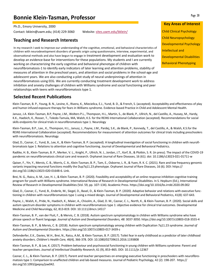# **Bonnie Klein‐Tasman, Professor**

Ph.D., Emory University, 2000

Contact: bklein@uwm.edu; (414) 229‐3060 Website: sites.uwm.edu/bklein/

## **Teaching and Research Interests**

In my research I seek to improve our understanding of the cognitive, emotional, and behavioral characteristics of children with neurodevelopment disorders of genetic origin using questionnaire, interview, experimental, and observational methods and also have begun to engage in treatment development and evaluation work to develop an evidence-base for interventions for these populations. My students and I are currently working on characterizing the early cognitive and behavioral phenotype of children with neurofibromatosis‐1 to identify early indicators of later learning and attention problems, stability of measures of attention in the preschool years, and attention and social problems in the school‐age and adolescent years. We are also conducting a pilot study of neural underpinnings of attention in neurofibromatosis using EEG. We are currently conducting treatment development work to address inhibition and anxiety challenges of children with Williams syndrome and social functioning and peer relationships with teens with neurofibromatosis type 1.

## **Selected Recent Publications**

Klein‐Tasman, B. P., Young, B. N., Levine, K., Rivera, K., Miecielica, E.J., Yund, B. D., & French, S. (accepted). Acceptability and effectiveness of play and humor‐infused exposure therapy for fears in Williams syndrome. Evidence‐based Practice in Child and Adolescent Mental Health.

Janusz, J.A. Klein-Tasman, B.P, Payne, J.M., Wolters P.L., Thompson, H.L., Martin, S., de Blank, P., Ullrich, N., del Castillo, A., Hussey, M., Hardy, K.K., Haebich, K., Rosser, T., Toledo‐Tamula, MA, Walsh, K.S. for the REiNS International Collaboration (accepted). Recommendations for social skills endpoints for clinical trials in neurofibromatosis type 1. Neurology

Klein‐Tasman, B.P., Lee., K., Thompson, H.L., Janusz, J., Payne, J.M., Pardej, S.K., de Blank, P., Kennedy, T., del Castillo, A., & Walsh, K.S.for the REiNS International Collaboration (accepted). Recommendations for measurement of attention outcomes for clinical trials including preschoolers with neurofibromatosis. Neurology

Glad, D., Casnar, C., Yund, B., Lee, K., & Klein-Tasman, B. P. (accepted). A longitudinal investigation of social functioning in children with neurofibromatosis type 1: Relations to attention and cognitive functioning. Journal of Developmental and Behavioral Pediatrics.

Radtke, H. B., Klein‐Tasman, B. P., Merker, V. L., Knight, P., Ullrich, N. J., Jordan, J.T., Korf, B., & Plotkin, S. R. (in press). The impact of the COVID‐19 pandemic on neurofibromatosis clinical care and research. Orphanet Journal of Rare Diseases, 16 (61). doi: 10.1186/s13023‐021‐01711‐w

Qaiser, F., Yin, Y., Mervis, C. B., Morris, C. A., Klein‐Tasman, B. P., Tam, E., Osborne, L. R., & Yuen, R. K. C. (2021). Rare and low frequency genomic variants impacting neuronal functions modify the Dup7q11.23 phenotype. Orphanet Journal of Rare Diseases, 16 (6). DOI: https:// doi.org/10.1186/s13023‐020‐01648‐6. Link.

Brei, N. G., Raicu, A. M., Lee, H. J., & Klein-Tasman, B. P. (2020). Feasibility and acceptability of an online response inhibition cognitive training program for youth with Williams syndrome. International Review of Research in Developmental Disabilities. In S. Hepburn (Ed.), International Review of Research in Developmental Disabilities (Vol. 59, pp. 107–134). Academic Press. https://doi.org/10.1016/bs.irrdd.2020.09.002

Glad, D., Casnar, C., Yund, B., Enderle, M., Siegel, D., Basel, D., & Klein-Tasman, B. P. (2020). Adaptive behavior and relations with executive functioning in children with neurofibromatosis type 1 using a mixed design. Journal of Developmental and Behavioral Pediatrics, 41(8): 637‐643.

Payne, J., Walsh, K., Pride, N., Haebich, K., Maier, A., Chisolm, A., Glad, D. M., Casnar, C. L., North, K., & Klein-Tasman, B. P. (2020). Social skills and autism spectrum disorder symptoms in children with neurofibromatosis type 1: objective evidence for clinical trial outcomes. Developmental Medicine and Child Neurology, 62, 813‐819. DOI: 10.1111/dmcn.14517

Klein‐Tasman, B. P., van der Fluit, F., & Mervis, C. B. (2018). Autism spectrum symptomatology in children with Williams syndrome who have phrase speech or fluent language. *Journal of Autism and Developmental Disorders, 48:* 3037‐3050. https://doi.org/10.1007/s10803‐018‐3555‐4

Klein‐Tasman, B. P., & Mervis, C. B. (2018). Autism spectrum symptomatology among children with Duplication 7q11.23 syndrome. *Journal of Autism and Developmental Disorders*. https://doi.org/10.1007/s10803‐017‐3439‐z

Defenderfer, E.K., Davies, W.H., Brei, N., Raicu, A.M., & Klein‐Tasman, B. P. (2017). Toilet fear in early childhood as a predictor of later childhood anxiety disorders. *Children's Health Care, 46(4),* 366‐378. DOI: 10.1080/02739615.2016.1193808

Klein‐Tasman, B. P., & Lee, K. (2017). Problem behaviour and psychosocial functioning in young children with Williams syndrome: Parent and teacher perspectives. *Journal of Intellectual Disability Research*, 61 (9), 853–865. DOI: 10.1111/jir.12367

Casnar, C. L., & Klein‐Tasman, B. P. (2017). Parent and teacher perspectives on emerging executive functioning in preschoolers with neurofibro‐ matosis type 1: Comparison to unaffected children and lab‐based measures. Journal of Pediatric Psychology, 42 (2): 198‐207. https:// doi.org/10.1093/jpepsy/jsw042.

Page 20

Child Clinical Psychology Child Neuropsychology Developmental Psychology Intellectual and Developmental Disabilities Behavioral Phenotyping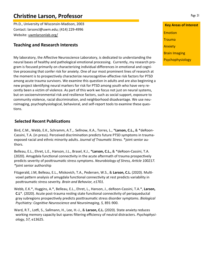# **ChrisƟne Larson, Professor**

Ph.D., University of Wisconsin‐Madison, 2003 Contact: larsoncl@uwm.edu; (414) 229‐4996 Website: uwmlarsonlab.org/

## **Teaching and Research Interests**

My laboratory, the Affective Neuroscience Laboratory, is dedicated to understanding the neural bases of healthy and pathological emotional processing. Currently, my research pro‐ gram is focused primarily on characterizing individual differences in emotional and cognitive processing that confer risk for anxiety. One of our most prominent lines of research at the moment is to prospectively characterize neurocognitive‐affective risk factors for PTSD among acute trauma survivors. We examine this question in adults and are also beginning a new project identifying neural markers for risk for PTSD among youth who have very re‐ cently been a victim of violence. As part of this work we focus not just on neural systems, but on socioenvironmental risk and resilience factors, such as social support, exposure to community violence, racial discrimination, and neighborhood disadvantage. We use neu‐ roimaging, psychophysiological, behavioral, and self‐report tools to examine these ques‐ tions.

## **Selected Recent Publications**

Bird, C.M., Webb, E.K., Schramm, A.T.,. Sellnow, K.A., Torres, L., \***Larson, C.L.,** & \*deRoon‐ Cassini, T.A. (in press). Perceived discrimination predicts future PTSD symptoms in traumaexposed racial and ethnic minority adults. *Journal of Traumatic Stress.* \*joint senior authors.

Belleau, E.L., Ehret, L.E., Hanson, J.L., Brasel, K.J., \***Larson, C.L.,** & \*deRoon‐Cassini, T.A. (2020). Amygdala functional connectivity in the acute aftermath of trauma prospectively predicts severity of posƩraumaƟc stress symptoms. *Neurobiology of Stress, ArƟcle 100217. \**joint senior authorship

Fitzgerald, J.M, Belleau, E.L., Miskovich, T.A., Pedersen, W.S., & Larson, C.L. (2020). Multivoxel pattern analysis of amygdala functional connectivity at rest predicts variability in posƩraumaƟc stress severity. *Brain and Behavior, e1701.*

Webb, E.K.\*, Huggins, A.\*, Belleau, E.L., Ehret, L., Hanson, J., deRoon‐Cassini, T.A.\*, **Larson, C.L**\*. (2020). Acute post-trauma resting state functional connectivity of periaqueductal gray subregions prospectively predicts posttraumatic stress disorder symptoms. *Biological Psychiatry: CogniƟve Neuroscience and Neuroimaging, 5,* 891‐900.

Ward, R.T., Loƞi, S., Sallmann, H., Lee, H.‐J., & **Larson, C.L.** (2020). State anxiety reduces working memory capacity but spares filtering efficiency of neutral distracters. *Psychophysiology, 57,* e13625.

**Key Areas of Interest**  Emotion **Trauma** Anxiety Brain Imaging

Psychophysiology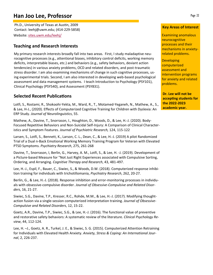# **Han Joo Lee, Professor**

Ph.D., University of Texas at Austin, 2009 Contact: leehj@uwm.edu; (414‐229‐5858) Website: sites.uwm.edu/leehj/

## **Teaching and Research Interests**

My primary research interests broadly fall into two areas. First, I study maladaptive neu‐ rocognitive processes (e.g., attentional biases, inhibitory control deficits, working memory deficits, interpretable biases, etc.) and behaviors (e.g., safety behaviors, deviant action tendencies) in various anxiety problems, OCD and related disorders, and post‐traumatic stress disorder. I am also examining mechanisms of change in such cognitive processes, us‐ ing experimental trials. Second, I am also interested in developing web‐based psychological assessment and data management systems. I teach Introduction to Psychology (PSY101), Clinical Psychology (PSY540), and Assessment (PSY831).

## **Selected Recent PublicaƟons**

Lotfi, S., Rostami, R., Shokoohi‐Yekta, M., Ward, R., T., Motamed‐Yeganeh, N., Mathew, A., S., & Lee, H‐J., (2020). Effects of Computerized Cognitive Training for Children with Dyslexia: An ERP Study. *Journal of Neurolinguistics*, 55.

Mathew, A., Davine, T., Snorrason, I., Houghton, D., Woods, D., & Lee, H.‐J. (2020). Body‐ Focused Repetitive Behaviors and Non‐Suicidal Self‐Injury: A Comparison of Clinical Character‐ istics and Symptom Features. *Journal of Psychiatric Research,* 124, 115‐122

Larsen, S., Lotfi, S., Bennett, K., Larson, C. L., Dean, C., & Lee, H.‐J. (2019) A pilot Randomized Trial of a Dual n‐Back Emotional Working Memory Training Program for Veteran with Elevated PTSD Symptoms. *Psychiatry Research*, 275, 261‐268

Davine, T., Snorrason, I, Berlin, G., Harvey, A. M., Lotfi, S., & Lee, H. ‐J. (2019). Development of a Picture‐based Measure for "Not Just Right Experiences associated with Compulsive Sorting, Ordering, and Arranging. *Cognitive Therapy and Research*, 43, 481‐497.

Lee, H.‐J., Espil, F., Bauer, C., Siwiec, S., & Woods, D.W. (2018). Computerized response inhibi‐ tion training for individuals with trichotillomania, *Psychiatry Research*, 262, 20‐27.

Berlin, G., & Lee, H.‐J. (2018). Response inhibition and error‐monitoring processes in individu‐ als with obsessive‐compulsive disorder. *Journal of Obsessive-Compulsive and Related Disorders*, 16, 21‐27.

Siwiec, S.G., Davine, T.P., Kresser, R.C., Rohde, M.M., & Lee, H.‐J. (2017). Modifying thought‐ action fusion via a single‐session computerized interpretation training. *Journal of Obsessive-Compulsive and Related Disorders*, 12, 15‐22.

Goetz, A.R., Davine, T.P., Siwiec, S.G., & Lee, H.‐J. (2016). The functional value of preventive and restorative safety behaviors: A systematic review of the literature. *Clinical Psychology Review*, 44, 112‐124.

Lee, H. –J., Goetz, A. R., Turkel, J. E., & Siwiec, S. G. (2015). Computerized Attention Retraining for Individuals with Elevated Health Anxiety. *Anxiety, Stress & Coping: An International Journal*, 2, 226‐237.

#### **Key Areas of Interest**

Examining anomalous neurocognitive processes and their mechanisms in anxiety‐ related problems.

**Developing** computerized assessment and intervention programs for anxiety and related problems.

**Dr. Lee will not be accepƟng students for the 2022‐2023 academic year.**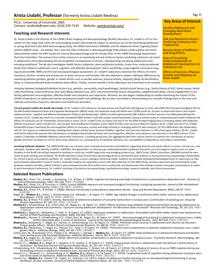### **Krista Lisdahl, Professor** (formerly Krista Lisdahl Medina)

Ph.D., University of Cincinnati, 2005 Contact: medinak@uwm.edu; (414) 229‐7159 Website: uwmbrainlab.com/

#### **Teaching and Research Interests**

Dr. Krista Lisdahl is the Director of the UWM's Brain Imaging and Neuropsychology (BraIN) Laboratory. Dr. Lisdahl is a PI or Con‐ sultant on four large-scale multi-site neuroimaging studies examining the impact of substance use on the developing adolescent or young adult brain [the MTA Neuroimaging Study; the IDEAA Consortium; ENIGMA; and the Adolescent Brain Cognitive Development (ABCD) study - see below]. She is also the Chair of Women in Neuropsychology (http://www.scn40.org/piac-win.html) Subcommittee within the APA Society for Clinical Neuropsychology and the faculty Chair of the UWM Psychology Department Diversity Committee. The primary focus of her research is on examining risk and resilience factors predicting substance use onset in adolescence and understanding the neurocognitive consequences of chronic, repeated drug use during adolescence and emerging adulthood. The lab also investigates health factors (adiposity, exercise/physical activity, screen time, endocannabinoid levels) that influence adolescent neuro, cognitive, and affective development. More specifically, using magnetic resonance imaging (structural MRI, fMRI and DTI) and neuropsychological assessment, Dr. Lindahl's laboratory examines the effects of chronic marijuana, alcohol, nicotine and ecstasy use on brain structure and function. We also attempt to explain individual differences by examining whether genetics, gender or health factors such as aerobic exercise, physical activity, adiposity (body fat distribution), sleep, or endocannabinoid levels moderate these effects. Finally, several members of the laboratory are interested in the complex

#### **Key Areas of Interest**

Healthy Adolescent and Emerging Adult Brain **Development** 

Risk and Resilience Factors Predicting Substance Use **Trajectories** 

Neuroscience of Addiction and Drug Effects

Role of Circulating Endocannabinoids on Adolescent Development & Substance Use

Effects of Exercise, Physical Activity and Adiposity on **Brain Health** 

interplay between biological/individual factors (e.g., genetics, personality, psychopathology), family/cultural factors (e.g., family history of SUD, family values, family rules/monitoring, culture/ethnicity, peer and sibling substance use, SES), and environmental factors (drug policy, neighborhood safety, school engagement) in predicting adolescent neurocognition, affective health and substance use trajectories. Recently, we also began collaborating on studies examining the impact of the COVID-19 pandemic on adolescent mental and physical health and wellbeing. We are also committed to disseminating our scientific findings back to the local and national community of parents, educators and healthcare providers.

Current projects within the BraIN Lab include: (1) Dr. Lisdahl is the Substance Use Assessment and Drug Policy Workgroup Co-Chair and UWM Site Principal Investigator (PI) for the NIH-funded Adolescent Brain and Cognitive Development (ABCD) study; this landmark study will follow over 10,000 youth for 10 years to determine factors that impact adolescent brain, cognitive and affective development (https:// abcdstudy.org/). UWM recruited approximately 386 children and their parents from Milwaukee/Waukesha counties; (2) Dr. Lisdahl was the PI on a recently completed NIDA-funded 7 year R01 project examining whether physical activity levels or cardiorespiratory health moderate the effects of marijuana use on frontolimbic connectivity in teens; (3) Dr. Lisdahl is the co-creator and site-PI for the NIDA-funded Imaging Data in Emerging Adults with Addiction (IDEAA) consortium- which includes Drs. Staci Gruber (Harvard/McLean Hospital), Susan Tapert (UCSD), and Francesca Filbey (UT-Dallas); (4) Dr. Lisdahl was the PI on a NIDAfunded R03 project examining the neurocognitive effects of marijuana, ecstasy and binge drinking in emerging adults (in data-analysis); (5) The UWM Brain Lab collaborated with Dr. Ann Swartz to understand how standing desks impact activity levels, postural stability, cognition and classroom behavior in 100 school-aged children; (6) Drs. Lisdahl and Cecelia Hillard will examine the link between circulating endocannabinoid levels and neurocognitive, affective, and substance use outcomes in the ABCD Cohort; (7) Dr. Lisdahl is a Member of ENIGMA-Addiction world-wide consortium, a working group that uses aggregated data from several cohorts to examine the contribution of various genetic and brain correlates on risk for early onset substance use, consequences of repeated substance use, susceptibility to dependence and relapse vulnerability.

Incoming Graduate Students: The UWM BraIN Lab is an inclusive, team-oriented environment committed to supporting diversity and equity efforts in science, clinical care, and education. Students who identify as BIPOC, LGBTQIA+, first-generation, or other groups underrepresented in graduate education are encouraged to apply to join our team. Students in the BraIN Lab will get exposed to working on multi-site, multiPI large-scale neuroimaging projects (e.g., ABCD Study, IDEAA Consortium, ENIGMA) and will be mentored on grant writing and reviewing. The BraIN Laboratory trains Clinical Neuropsychology doctoral and postdoctoral students in neuroscience/neuropsychology-related fields for clinical-science and academic positions. Dr. Lisdahl utilizes a junior colleague mentoring model. Students are provided developmental/stepped levels of supervision as they work towards independent research careers. Graduate students are expected to assist with data collection for the ABCD Study, provide supervision and mentoring for undergraduate students and RAs, publish articles in peer-reviewed journals (first-author and co-authored), and disseminate their findings at poster and paper presentations at national and international conferences. Dr. Lisdahl's teaching is focused on neuropsychology, psychopharmacology, research methods, and clinical assessment.

#### **Selected Recent PublicaƟons**

- Medina, K.L., Shear, P.K., Schafer, J, Armstrong, T.G., & Dyer, P. (2004). Cognitive functioning and length of abstinence in polysubstance dependent men. Archives of<br>Clinical Neuropsychology, 19(2), 245-258. PMID: 15010089
- **Medina, K.L.,** Shear, P.K., & Corcoran, K. (2005). Ecstasy (MDMA) exposure and neuropsychological funcƟoning: A polydrug perspecƟve. *Journal of the InternaƟonal Neuropsychological Society, 11(6),* 1‐13. PMID: 16248911
- **Medina, K.L.,** Shear, P.K., & Schafer, J. (2006). Memory funcƟoning in polysubstance dependent women. *Drug and Alcohol Dependence, 84(3),* 248‐55. PMID: 16595165
- Nagel, B.J., **Medina, K.L.,** Yoshii, J., Schweinsburg, A.D., Moadab, I., & Tapert, S.F. (2006). Age related changes in prefrontal white matter volume across adolescence.<br>Medina, K.L. & Shear, 17(13), 1427-31. PMID: 1693215
- 
- Medina, K.L., Schweinsburg, A.D., Cohen-Zion, M., Nagel, B.J., & Tapert, S.F. (2007). Effects of alcohol and combined marijuana and alcohol use during adolescence on<br>hippocampal volume and asymmetry. Exposures During Adole
- 
- 17169528<br>
Medina, K.L., Nagel, B.J., McQueeny, T., Park, A., & Tapert, S.F. (2007). Depressive symptoms in adolescents: Associations with white matter volume and marijuana use.<br>
Journal of Child Psychology and Psychiatry,
- 
- 
- **Medina, K.L.,** Nagel, B.J., & Tapert, S.F. (2010). Abnormal cerebellar morphometry in absƟnent adolescent marijuana users. *Psychiatry Research: Neuroimaging, 182 (2),* 152‐159. PMID: 20413277
- Hanson, K. L., **Medina, K. L.,** Nagel, B. J., Spadoni, A. D., Gorlick, A., & Tapert, S. F. (2010). Hippocampal volumes in adolescents with and without a family history of alcoholism. The American Journal of Drug and Alcoho
- 
- Schweinsburg, A.D., Schweinsburg, B.C., **Medina, K.L.,** McQueeny, T., Brown, S.A., & Tapert, S.F. (2010). The influence of recency of use on fMRI response during spa-<br>tial working memory in adolescent marijuana users. *Jou*
- adulthood: 10‐year outcomes. *Journal of Child & Adolescent Substance Abuse, 20*, 135‐154. PMID: 21532924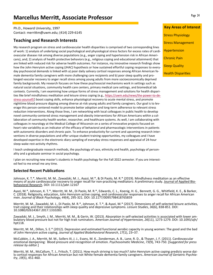# **Marcellus MerriƩ, Associate Professor**

Ph.D., Howard University, 1997 Contact: merrittm@uwm.edu; (414) 229-6145

### **Teaching and Research Interests**

My research program on stress and cardiovascular health disparities is comprised of two corresponding lines of work: 1) analysis of underlying social psychological and physiological stress factors for excess rates of cardi‐ ovascular disease risk among diverse populations (e.g., anger coping and hypertension risk in African Ameri‐ cans), and; 2) analysis of health protective behaviors (e.g., religious coping and educational attainment) that are linked with reduced risk for adverse health outcomes. For instance, my innovative research findings show how the John Henryism active coping (JHAC) hypothesis or how sustained effortful coping responses to every‐ day psychosocial demands is linked with a) poor daily salivary cortisol responses among African American fe‐ male dementia family caregivers with more challenging care recipients and b) poor sleep quality and pro‐ longed vascular recovery to anger recall stress among young adults from more socioeconomically deprived family backgrounds. My research focuses on how these psychosocial mechanisms work in settings such as natural social situations, community health care centers, primary medical care settings, and biomedical lab contexts. Currently, I am examining how unique forms of stress management and solutions for health disparities like brief mindfulness meditation and leisure stress coping (e.g., https://uwm.edu/news/the-power-to-destress-yourself/) boost coping skills, enhance physiological recovery to acute mental stress, and promote nighttime blood pressure dipping among diverse at‐risk young adults and family caregivers. Our goal is to lev‐ erage this person‐centered model to promote better adoption and long‐term adherence to relevant stress reduction interventions. Along those lines, I am networking with local colleagues in public health to develop novel community-centered stress management and obesity interventions for African Americans within a collaboration of community health worker, researcher, and healthcare systems. As well, I am collaborating with colleagues in neurology at the Medical College of Wisconsin on a series of innovative projects focused on heart rate variability as an indicator of the efficacy of behavioral and pharmacologic interventions in patients with autonomic disorders and chronic pain. To enhance productivity for current and upcoming research inter‐ ventions in diverse populations and offer unique student training opportunities, my colleagues and I have developed expertise in the electronic diary sampling of everyday stress responses and appraisal of 24‐hour sleep‐wake rest‐activity rhythms.

I teach undergraduate research methods, the psychology of race, ethnicity and health, psychology of person‐ ality and a graduate seminar in social psychology.

I plan on recruiting new master's students in health psychology for the Fall 2022 semester. If you are interest‐ ed feel to me email me any time.

#### **Selected Recent PublicaƟons**

Johnson, K. T.\*, Merritt, M. M., Zawadzki, M. J., Ayazi, M.\*, & Di Paolo, M. R.\* (2019). Mindfulness meditation as an effective means of acute cardiovascular recovery to anger recall for non-practicing meditators: A preliminary study. Journal of Applied Bio-<br>behavioral Research. DOI: 10.1111/jabr.12167

Ayazi, M.\*, Johnson, K. T.\*, Merritt, M. M., Di Paolo, M. R.\*, Edwards, C. L., Koenig, H. G., Bennett, G. G., Whitfield, K. E., & Barker, C. (2018). Religiosity, education, John Henryism active coping, and cardiovascular responses to anger recall for African American men. *Journal of Black Psychology*, *44*(4), 295‐321. DOI: 10.1177/0095798418765859

Merritt, M. M., Zawadzki, M. J., Di Paolo, M. R.\*, Johnson, K. T.\*, & Ayazi, M.\* (2017). Dimensions of self‐selected leisure activities, trait coping and their relationships with sleep quality and depressive symptoms. *Leisure Studies*, *36*(6), 838‐851. DOI: 10.1080/02614367.2017.1310283.

Zawadski, M. J., Smyth, J. M., Merritt, M. M., & Gerin, W. (2013). Absorption in self-selected activities is associated with lower am-<br>bulatory blood pressure but not for high trait ruminators. American Journal of Hyperten hpt118.

Merritt, M. M., Dillon, S. E.\* (2012). Depression and estimated functional aerobic capacity in young women: The good and the bad of John Henryism active coping. *Journal of Applied Biobehavioral Research*, *17*(1), 23–37.

McCubbin, J. A., Merritt, M. M., Sollers III, J. J., Evans, M. K., Zonderman, A. B., Lane, R. D., & Thayer, J. F. (2011). Cardiovascular emotional dampening: Blood pressure and recognition of emotion. *Psychosomatic Medicine*, *73*(9), 743‐750. [*Suggested for press release by editor.*]

Merritt, M. M., McCallum, T. J., Fritsch, T. (2011). How much striving is too much? John Henryism active coping predicts worse dai-<br>Iy cortisol responses for African American but not White female dementia family caregivers *try*, *19*(5), 451‐460.

**Key Areas of Interest**  Stress Physiology Stress Management Hypertension Chronic Pain Sleep Quality

**Health Disparities**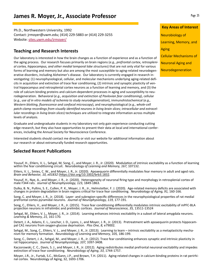Ph.D., Northwestern University, 1992 Contact: jrmoyer@uwm.edu; (414) 229‐5883 or (414) 229‐3255 Website: sites.uwm.edu/jrmoyer/

## **Teaching and Research Interests**

Our laboratory is interested in how the brain changes as a function of experience and as a function of the aging process. Our research focuses primarily on brain regions (*e.g., prefrontal cortex, retrosplenial cortex, hippocampus, and other medial temporal lobe structures*) that are not only vital for various forms of learning and memory but also are among the most susceptible to aging-related neurodegenerative disorders, including Alzheimer's disease. Our laboratory is currently engaged in research in‐ vestigating: (1) neurophysiological, cellular, and molecular mechanisms underlying aging‐related defi‐ cits in acquisition and extinction of trace fear conditioning, (2) intrinsic and synaptic plasticity of ven‐ tral hippocampus and retrosplenial cortex neurons as a function of learning and memory, and (3) the role of calcium binding proteins and calcium-dependent processes in aging and susceptibility to neurodegeneration. Behavioral (*e.g., acquisition and extinction of Pavlovian fear conditioning*), cellular (*e.g., use of in vitro models of ischemia to study neurodegeneration*), immunohistochemical (*e.g., Western blotting, fluorescence and confocal microscopy*), and neurophysiological (*e.g., whole-cell patch-clamp recordings from visually identified neurons in living brain slices; intracellular and extracellular recordings in living brain slices*) techniques are utilized to integrate information across multiple levels of analysis.

Graduate and undergraduate students in my laboratory not only gain experience conducting cutting edge research, but they also have opportunities to present their data at local and international confer‐ ences, including the Annual Society for Neuroscience Conference.

Interested students should contact me directly or visit our website for additional information about our research or about extramurally funded research opportunities.

## **Selected Recent Publications**

Yousuf, H., Ehlers, V. L., Sehgal, M. Song, C., and Moyer, J. R., Jr. (2020). Modulation of intrinsic excitability as a function of learning within the fear condiƟoning circuit. *Neurobiology of Learning and Memory, 167,* 107132.

Ehlers, V. L., Smies, C. W., and Moyer, J. R., Jr. (2020). Apoaequorin differentially modulates fear memory in adult and aged rats. *Brain and Behavior, 10, e01832* (hƩps://doi.org/10.1002/brb3.1832.

Yousuf, H., Nye, A., and Moyer, J. R., Jr. (2020). Heterogeneity of neuronal firing type and morphology in retrosplenial cortex of male F344 rats. *Journal of Neurophysiology, 123,* 1849‐1863*.*

Dulka, B. N., Pullins, S. E., Cullen, P. K., Moyer, J. R., Jr., Helmstetter, F. J. (2020). Age-related memory deficits are associated with changes in protein degradation in brain regions critical for trace fear conditioning. *Neurobiology of Aging, 91,* 160-166.

Song, C. and Moyer, J. R., Jr. (2018). Layer- and subregion-specific differences in the neurophysiological properties of rat medial prefrontal cortex pyramidal neurons. *Journal of Neurophysiology, 119,* 177‐191.

Song, C., Ehlers, V., and Moyer, J. R., Jr. (2015). Trace fear conditioning differentially modulates intrinsic excitability of mPFC-BLA projection neurons in infralimbic and prelimbic cortices. *Journal of Neuroscience*, 35, 13511-13524

Sehgal, M., Ehlers, V. L., Moyer, J. R., Jr. (2014). Learning enhances intrinsic excitability in a subset of lateral amygdala neurons. *Learning & Memory, 21,* 161‐170*.*

Detert, J. A., Adams, E. L., Lescher, J. D., Lyons, J., and Moyer, J. R., Jr. (2013). Pretreatment with apoaequorin protects hippocam-<br>pal CA1 neurons from oxygen-glucose deprivation. Plos One, 8, e79002.

Sehgal, M., Song, C., Ehlers, V. L., and Moyer, J. R., Jr. (2013). Learning to learn – intrinsic excitability as a metaplasticity mecha-<br>nism for memory formation. Neurobiology of Learning and Memory, 105, 186-199.

Song, C., Detert, J. A., Sehgal, M., and Moyer, J. R., Jr. (2012). Trace fear conditioning enhances synaptic and intrinsic plasticity in rat hippocampus. *Journal of Neurophysiology, 107,* 3397‐3408*.*

Kaczorowski, C. C., Davis, S. J., and Moyer, J. R., Jr. (2012). Aging redistributes medial prefrontal neuronal excitability and impedes extinction of trace fear conditioning. *Neurobiology of Aging*, *33*, 1744‐1757.

Moyer, J.R., Jr., Furtak, S.C., McGann, J.P., and Brown, T.H. (2011). Aging-related changes in calcium-binding proteins in rat perirhi-<br>nal cortex. Neurobiology of Aging, 32, 1693‐1706.

Neurobiology of Learning, Memory, and Aging Cellular Mechanisms of Neuronal Aging and Neurodegeneration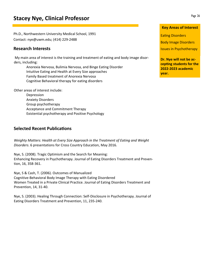# **Stacey Nye, Clinical Professor**

Ph.D., Northwestern University Medical School, 1991 Contact: nye@uwm.edu; (414) 229‐2488

### **Research Interests**

My main area of interest is the training and treatment of eating and body image disor‐ ders, including:

 Anorexia Nervosa, Bulimia Nervosa, and Binge Eating Disorder Intuitive Eating and Health at Every Size approaches Family Based treatment of Anorexia Nervosa Cognitive Behavioral therapy for eating disorders

Other areas of interest include:

 Depression Anxiety Disorders Group psychotherapy Acceptance and Commitment Therapy Existential psychotherapy and Positive Psychology

### **Selected Recent Publications**

*Weighty Matters: Health at Every Size Approach in the Treatment of Eating and Weight Disorders*. 6 presentations for Cross Country Education, May 2016.

Nye, S. (2008). Tragic Optimism and the Search for Meaning: Enhancing Recovery in Psychotherapy. Journal of Eating Disorders Treatment and Preven‐ tion, 16, 358‐361.

Nye, S & Cash, T. (2006). Outcomes of Manualized Cognitive‐Behavioral Body Image Therapy with Eating Disordered Women Treated in a Private Clinical Practice. Journal of Eating Disorders Treatment and Prevention, 14, 31‐40.

Nye, S. (2003). Healing Through Connection: Self‐Disclosure in Psychotherapy. Journal of Eating Disorders Treatment and Prevention, 11, 235‐240.

#### **Key Areas of Interest**

**Eating Disorders** 

Body Image Disorders

Issues in Psychotherapy

**Dr. Nye will not be ac‐ cepting students for the 2022‐2023 academic year.**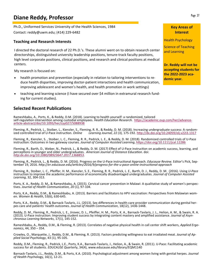# **Diane Reddy, Professor**

Ph.D., Uniformed Services University of the Health Sciences, 1984 Contact: reddy@uwm.edu; (414) 229‐6482

#### **Teaching and Research Interests**

I directed the doctoral research of 22 Ph.D.'s. These alumni went on to obtain research center directorships, distinguished university leadership positions, tenure‐track faculty positions, high level corporate positions, clinical positions, and research and clinical positions at medical centers.

My research is focused on:

- health promotion and prevention (especially in relation to tailoring interventions to re‐ duce health disparities, improving doctor‐patient interactions and health communication, improving adolescent and women's health, and health promotion in work settings)
- teaching and learning science (I have secured over \$4 million in extramural research fund‐ ing for current studies).

## **Selected Recent PublicaƟons**

Rameshbabu, A., Ports, K., & Reddy, D.M. (2018). Learning to health yourself: a randomized, tailored self-regulation intervention among custodial employees. *Health Education Research.* https://academic.oup.com/her/advance-<br>article-abstract/doi/10.1093/her/cyy027/5088938

Fleming, R., Pedrick, L., Stoiber, L., Kienzler, S., Fleming, R. R., & Reddy, D. M. (2018). Increasing undergraduate success: A random-<br>ized controlled trial of U-Pace instruction. Online Learning Journal, 22 (3), 175-192.

Fleming, R., Kienzler, S. , Stoiber, L. C., Fleming, R. R., Pedrick, L. E., & Reddy, D. M. (2018). Randomized controlled trials of U‐Pace instrucƟon: Outcomes in two gateway courses. *Journal of Computer Assisted Learning*, hƩps://doi.org/10.1111/jcal.12286

Fleming, R., Barth, D., Weber, N., Pedrick, L., & Reddy, D. M. (2017) Effect of U-Pace instruction on academic success, learning, and percepƟons in younger and older undergraduates. *American Journal of Distance EducaƟon*. doi: *hƩp:dx.doi.org/10.1080/08923647.2017.1368853*.

Fleming, R., Pedrick, L., & Reddy, D. M. (2016). Progress on the U-Pace instructional Approach. Educause Review. Editor's Pick, Sep-<br>tember 19, 2016. http://er.educause.edu/articles/2016/9/progress-for-the-u-pace-online-in

Fleming, R., Stoiber, L. C., Pfeiffer, H. M., Kienzler, S. E., Fleming, R. R., Pedrick, L. E., Barth, D. J., Reddy, D. M. (2016). Using *U-Pace* instruction to improve the academic performance of economically disadvantaged undergraduates. *Journal of Computer Assisted Learning*, 32, 304‐313.

Ports, K. A., Reddy, D. M., & Rameshbabu, A. (2015). Cervical cancer prevention in Malawi: A qualitative study of women's perspec-<br>tives. Journal of Health Communication, 20 (1), 97-104.

Ports, K.A., Reddy, D.M., & Rameshbabu, A. (2013). Barriers and facilitators to HPV vaccination: Perspectives from Malawian wom-<br>en. *Women & Health*, 53(6), 630-645.

Ports, K.A., Reddy, D.M., & Barnack-Tavlaris, J.L. (2013). Sex differences in health-care provider communication during genital her-<br>pes care and patients' health outcomes. Journal of Health Communication, 18(12), 1436-144

Reddy, D. M., Fleming, R., Pedrick, L. E., Jirovec, D. L., Pfeiffer, H. M., Ports, K. A., Barnack‐Tavlaris, J. L., Helion, A. M., & Swain, R. A. (2013). U‐Pace instruction: Improving student success by integrating content mastery and amplified assistance. *Journal of Asynchronous Learning Networks*, 17(1), 145‐152.

Rameshbabu, A., Reddy, D.M., & Fleming, R. (2013). Correlates of negative physical health in call center shift workers, *Applied Ergonomics*, 44, 350 – 354.

Crowley, O., Marquette, J., Reddy, D.M., & Fleming, R. (2013). Factors predicting willingness to eat irradiated meat. *Journal of Applied Social Psychology*, 43 (1), 95‐105.

Reddy, D.M., Fleming, R., Pedrick, L.E., Ports, K.A., Barnack‐Tavlaris, J., Helion, A., & Swain, R. (2011). U‐Pace: Facilitating academic success for all students. *EDUCAUSE Qua*rterly, 34(4), www.educause.edu/library/EQM1140

Barnack‐Tavlaris, J.L., Reddy, D.M., & Ports, K.A. (2010). Psychological adjustment among women living with genital herpes. *Journal of Health Ps*ychology, 16(1), 12‐21.

### **Key Areas of Interest**

Health Psychology

Science of Teaching and Learning

**Dr. Reddy will not be accepƟng students for the 2022‐2023 aca‐ demic year.**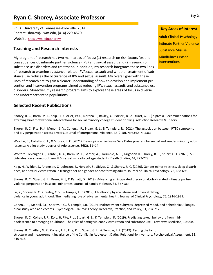# **Ryan C. Shorey, Associate Professor**

Ph.D., University of Tennessee‐Knoxville, 2014 Contact: shorey@uwm.edu, (414) 229‐4570 Website: sites.uwm.edu/shorey/

## **Teaching and Research Interests**

My program of research has two main areas of focus: (1) research on risk factors for, and consequences of, intimate partner violence (IPV) and sexual assault and (2) research on substance use disorders and treatment. In addition, my research integrates these two lines of research to examine substance‐related IPV/sexual assault and whether treatment of sub‐ stance use reduces the occurrence of IPV and sexual assault. My overall goal with these lines of research are to gain a clearer understanding of how to develop and implement pre‐ vention and intervention programs aimed at reducing IPV, sexual assault, and substance use disorders. Moreover, my research program aims to explore these areas of focus in diverse and underrepresented populations.

# **Key Areas of Interest**

Adult Clinical Psychology Intimate Partner Violence Substance Misuse Mindfulness‐Based **Interventions** 

## **Selected Recent Publications**

Shorey, R. C., Brem, M. J., Kolp, H., Glozier, W.K., Norona, J., Baxley, C., Borsari, B., & Stuart, G. L. (in press). Recommendations for affirming brief motivational interventions for sexual minority college student drinking. Addiction Research & Theory.

Shorey, R. C., Fite, P. J., Menon, S. V., Cohen, J. R., Stuart, G. L., & Temple, J. R. (2021). The association between PTSD symptoms and IPV perpetration across 6 years. Journal of Interpersonal Violence, 36(9-10), NP5340–NP5361.

Wesche, R., Galletly, C. L., & Shorey, R. C. (2021). Developing an inclusive Safe Dates program for sexual and gender minority adolescents: A pilot study. Journal of Adolescence, 86(2), 11–14.

Wolford-Clevenger, C., Frantell, K. A., Brem, M. J., Garner, A., Florimbio, A. R., Grigorian H., Shorey, R. C., Stuart, G. L. (2020). Suicide ideation among southern U.S. sexual minority college students. Death Studies, 44, 223-229.

Kolp, H., Wilder, S., Andersen, C., Johnson, E., Horvath, S., Gidycz, C., & Shorey, R. C. (2020). Gender minority stress, sleep disturb‐ ance, and sexual victimization in transgender and gender nonconforming adults. Journal of Clinical Psychology, 76, 688-698.

Shorey, R. C., Stuart, G. L., Brem, M. J, & Parrott, D. (2019). Advancing an integrated theory of alcohol-related intimate partner violence perpetration in sexual minorities. Journal of Family Violence, 34, 357-364.

Lu, Y., Shorey, R. C., Greeley, C. S., & Temple, J. R. (2019). Childhood physical abuse and physical dating violence in young adulthood: The mediating role of adverse mental health. Journal of Clinical Psychology, 75, 1916-1929.

Cohen, J.R., McNeil, S.L., Shorey, R.C., & Temple, J.R. (2019). Maltreatment subtypes, depressed mood, and anhedonia: A longitu‐ dinal study with adolescents. Psychological Trauma: Theory, Research, Practice, and Policy, 11, 704-712.

Shorey, R. C., Cohen, J. R., Kolp, H, Fite, P. J., Stuart, G. L., & Temple, J. R. (2019). Predicting sexual behaviors from midadolescence to emerging adulthood: The roles of dating violence victimization and substance use. Preventive Medicine, 105844.

Shorey, R. C., Allan, N. P., Cohen, J. R., Fite, P. J., Stuart, G. L., & Temple, J. R. (2019). Testing the factor structure and measurement invariance of the Conflict in Adolescent Dating Relationship Inventory. Psychological Assessment, 31, 410‐416.